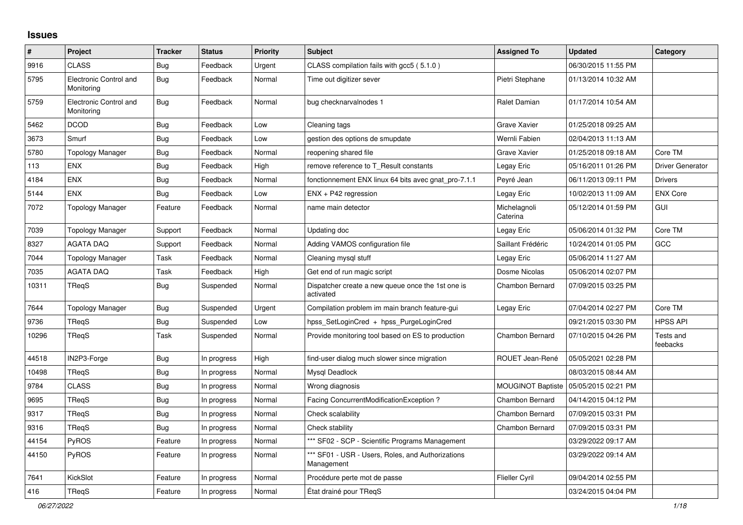## **Issues**

| #     | Project                              | <b>Tracker</b> | <b>Status</b> | <b>Priority</b> | <b>Subject</b>                                                  | <b>Assigned To</b>       | <b>Updated</b>      | Category                |
|-------|--------------------------------------|----------------|---------------|-----------------|-----------------------------------------------------------------|--------------------------|---------------------|-------------------------|
| 9916  | <b>CLASS</b>                         | <b>Bug</b>     | Feedback      | Urgent          | CLASS compilation fails with gcc5 (5.1.0)                       |                          | 06/30/2015 11:55 PM |                         |
| 5795  | Electronic Control and<br>Monitoring | <b>Bug</b>     | Feedback      | Normal          | Time out digitizer sever                                        | Pietri Stephane          | 01/13/2014 10:32 AM |                         |
| 5759  | Electronic Control and<br>Monitoring | <b>Bug</b>     | Feedback      | Normal          | bug checknarvalnodes 1                                          | Ralet Damian             | 01/17/2014 10:54 AM |                         |
| 5462  | <b>DCOD</b>                          | <b>Bug</b>     | Feedback      | Low             | Cleaning tags                                                   | <b>Grave Xavier</b>      | 01/25/2018 09:25 AM |                         |
| 3673  | Smurf                                | <b>Bug</b>     | Feedback      | Low             | gestion des options de smupdate                                 | Wernli Fabien            | 02/04/2013 11:13 AM |                         |
| 5780  | <b>Topology Manager</b>              | <b>Bug</b>     | Feedback      | Normal          | reopening shared file                                           | <b>Grave Xavier</b>      | 01/25/2018 09:18 AM | Core TM                 |
| 113   | <b>ENX</b>                           | <b>Bug</b>     | Feedback      | High            | remove reference to T_Result constants                          | Legay Eric               | 05/16/2011 01:26 PM | <b>Driver Generator</b> |
| 4184  | <b>ENX</b>                           | Bug            | Feedback      | Normal          | fonctionnement ENX linux 64 bits avec gnat_pro-7.1.1            | Peyré Jean               | 06/11/2013 09:11 PM | <b>Drivers</b>          |
| 5144  | ENX                                  | Bug            | Feedback      | Low             | $ENX + P42$ regression                                          | Legay Eric               | 10/02/2013 11:09 AM | <b>ENX Core</b>         |
| 7072  | Topology Manager                     | Feature        | Feedback      | Normal          | name main detector                                              | Michelagnoli<br>Caterina | 05/12/2014 01:59 PM | GUI                     |
| 7039  | <b>Topology Manager</b>              | Support        | Feedback      | Normal          | Updating doc                                                    | Legay Eric               | 05/06/2014 01:32 PM | Core TM                 |
| 8327  | <b>AGATA DAQ</b>                     | Support        | Feedback      | Normal          | Adding VAMOS configuration file                                 | Saillant Frédéric        | 10/24/2014 01:05 PM | GCC                     |
| 7044  | Topology Manager                     | Task           | Feedback      | Normal          | Cleaning mysql stuff                                            | Legay Eric               | 05/06/2014 11:27 AM |                         |
| 7035  | AGATA DAQ                            | Task           | Feedback      | High            | Get end of run magic script                                     | Dosme Nicolas            | 05/06/2014 02:07 PM |                         |
| 10311 | <b>TRegS</b>                         | <b>Bug</b>     | Suspended     | Normal          | Dispatcher create a new queue once the 1st one is<br>activated  | Chambon Bernard          | 07/09/2015 03:25 PM |                         |
| 7644  | <b>Topology Manager</b>              | Bug            | Suspended     | Urgent          | Compilation problem im main branch feature-gui                  | Legay Eric               | 07/04/2014 02:27 PM | Core TM                 |
| 9736  | <b>TRegS</b>                         | Bug            | Suspended     | Low             | hpss_SetLoginCred + hpss_PurgeLoginCred                         |                          | 09/21/2015 03:30 PM | <b>HPSS API</b>         |
| 10296 | TRegS                                | Task           | Suspended     | Normal          | Provide monitoring tool based on ES to production               | Chambon Bernard          | 07/10/2015 04:26 PM | Tests and<br>feebacks   |
| 44518 | IN2P3-Forge                          | Bug            | In progress   | High            | find-user dialog much slower since migration                    | ROUET Jean-René          | 05/05/2021 02:28 PM |                         |
| 10498 | TReqS                                | <b>Bug</b>     | In progress   | Normal          | Mysql Deadlock                                                  |                          | 08/03/2015 08:44 AM |                         |
| 9784  | <b>CLASS</b>                         | <b>Bug</b>     | In progress   | Normal          | Wrong diagnosis                                                 | <b>MOUGINOT Baptiste</b> | 05/05/2015 02:21 PM |                         |
| 9695  | TRegS                                | <b>Bug</b>     | In progress   | Normal          | Facing ConcurrentModificationException?                         | Chambon Bernard          | 04/14/2015 04:12 PM |                         |
| 9317  | TRegS                                | Bug            | In progress   | Normal          | Check scalability                                               | Chambon Bernard          | 07/09/2015 03:31 PM |                         |
| 9316  | <b>TRegS</b>                         | <b>Bug</b>     | In progress   | Normal          | Check stability                                                 | Chambon Bernard          | 07/09/2015 03:31 PM |                         |
| 44154 | PyROS                                | Feature        | In progress   | Normal          | *** SF02 - SCP - Scientific Programs Management                 |                          | 03/29/2022 09:17 AM |                         |
| 44150 | PyROS                                | Feature        | In progress   | Normal          | *** SF01 - USR - Users, Roles, and Authorizations<br>Management |                          | 03/29/2022 09:14 AM |                         |
| 7641  | KickSlot                             | Feature        | In progress   | Normal          | Procédure perte mot de passe                                    | <b>Flieller Cyril</b>    | 09/04/2014 02:55 PM |                         |
| 416   | TReqS                                | Feature        | In progress   | Normal          | État drainé pour TReqS                                          |                          | 03/24/2015 04:04 PM |                         |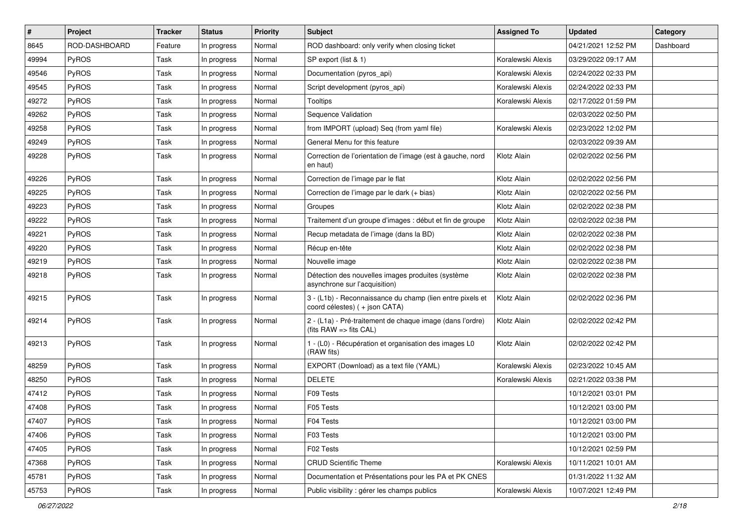| $\vert$ # | Project       | <b>Tracker</b> | <b>Status</b> | <b>Priority</b> | <b>Subject</b>                                                                              | <b>Assigned To</b> | <b>Updated</b>      | Category  |
|-----------|---------------|----------------|---------------|-----------------|---------------------------------------------------------------------------------------------|--------------------|---------------------|-----------|
| 8645      | ROD-DASHBOARD | Feature        | In progress   | Normal          | ROD dashboard: only verify when closing ticket                                              |                    | 04/21/2021 12:52 PM | Dashboard |
| 49994     | PyROS         | Task           | In progress   | Normal          | SP export (list & 1)                                                                        | Koralewski Alexis  | 03/29/2022 09:17 AM |           |
| 49546     | PyROS         | Task           | In progress   | Normal          | Documentation (pyros api)                                                                   | Koralewski Alexis  | 02/24/2022 02:33 PM |           |
| 49545     | PyROS         | Task           | In progress   | Normal          | Script development (pyros_api)                                                              | Koralewski Alexis  | 02/24/2022 02:33 PM |           |
| 49272     | PyROS         | Task           | In progress   | Normal          | Tooltips                                                                                    | Koralewski Alexis  | 02/17/2022 01:59 PM |           |
| 49262     | <b>PyROS</b>  | Task           | In progress   | Normal          | Sequence Validation                                                                         |                    | 02/03/2022 02:50 PM |           |
| 49258     | PyROS         | Task           | In progress   | Normal          | from IMPORT (upload) Seq (from yaml file)                                                   | Koralewski Alexis  | 02/23/2022 12:02 PM |           |
| 49249     | PyROS         | Task           | In progress   | Normal          | General Menu for this feature                                                               |                    | 02/03/2022 09:39 AM |           |
| 49228     | PyROS         | Task           | In progress   | Normal          | Correction de l'orientation de l'image (est à gauche, nord<br>en haut)                      | Klotz Alain        | 02/02/2022 02:56 PM |           |
| 49226     | PyROS         | Task           | In progress   | Normal          | Correction de l'image par le flat                                                           | Klotz Alain        | 02/02/2022 02:56 PM |           |
| 49225     | PyROS         | Task           | In progress   | Normal          | Correction de l'image par le dark (+ bias)                                                  | Klotz Alain        | 02/02/2022 02:56 PM |           |
| 49223     | PyROS         | Task           | In progress   | Normal          | Groupes                                                                                     | Klotz Alain        | 02/02/2022 02:38 PM |           |
| 49222     | PyROS         | Task           | In progress   | Normal          | Traitement d'un groupe d'images : début et fin de groupe                                    | Klotz Alain        | 02/02/2022 02:38 PM |           |
| 49221     | PyROS         | Task           | In progress   | Normal          | Recup metadata de l'image (dans la BD)                                                      | Klotz Alain        | 02/02/2022 02:38 PM |           |
| 49220     | PyROS         | Task           | In progress   | Normal          | Récup en-tête                                                                               | Klotz Alain        | 02/02/2022 02:38 PM |           |
| 49219     | PyROS         | Task           | In progress   | Normal          | Nouvelle image                                                                              | Klotz Alain        | 02/02/2022 02:38 PM |           |
| 49218     | PyROS         | Task           | In progress   | Normal          | Détection des nouvelles images produites (système<br>asynchrone sur l'acquisition)          | Klotz Alain        | 02/02/2022 02:38 PM |           |
| 49215     | PyROS         | Task           | In progress   | Normal          | 3 - (L1b) - Reconnaissance du champ (lien entre pixels et<br>coord célestes) ( + json CATA) | Klotz Alain        | 02/02/2022 02:36 PM |           |
| 49214     | PyROS         | Task           | In progress   | Normal          | 2 - (L1a) - Pré-traitement de chaque image (dans l'ordre)<br>(fits RAW => fits CAL)         | Klotz Alain        | 02/02/2022 02:42 PM |           |
| 49213     | PyROS         | Task           | In progress   | Normal          | 1 - (L0) - Récupération et organisation des images L0<br>(RAW fits)                         | Klotz Alain        | 02/02/2022 02:42 PM |           |
| 48259     | PyROS         | Task           | In progress   | Normal          | EXPORT (Download) as a text file (YAML)                                                     | Koralewski Alexis  | 02/23/2022 10:45 AM |           |
| 48250     | <b>PyROS</b>  | Task           | In progress   | Normal          | <b>DELETE</b>                                                                               | Koralewski Alexis  | 02/21/2022 03:38 PM |           |
| 47412     | PyROS         | Task           | In progress   | Normal          | F09 Tests                                                                                   |                    | 10/12/2021 03:01 PM |           |
| 47408     | PyROS         | Task           | In progress   | Normal          | F05 Tests                                                                                   |                    | 10/12/2021 03:00 PM |           |
| 47407     | PyROS         | Task           | In progress   | Normal          | F04 Tests                                                                                   |                    | 10/12/2021 03:00 PM |           |
| 47406     | PyROS         | Task           | In progress   | Normal          | F03 Tests                                                                                   |                    | 10/12/2021 03:00 PM |           |
| 47405     | PyROS         | Task           | In progress   | Normal          | F02 Tests                                                                                   |                    | 10/12/2021 02:59 PM |           |
| 47368     | PyROS         | Task           | In progress   | Normal          | <b>CRUD Scientific Theme</b>                                                                | Koralewski Alexis  | 10/11/2021 10:01 AM |           |
| 45781     | PyROS         | Task           | In progress   | Normal          | Documentation et Présentations pour les PA et PK CNES                                       |                    | 01/31/2022 11:32 AM |           |
| 45753     | PyROS         | Task           | In progress   | Normal          | Public visibility : gérer les champs publics                                                | Koralewski Alexis  | 10/07/2021 12:49 PM |           |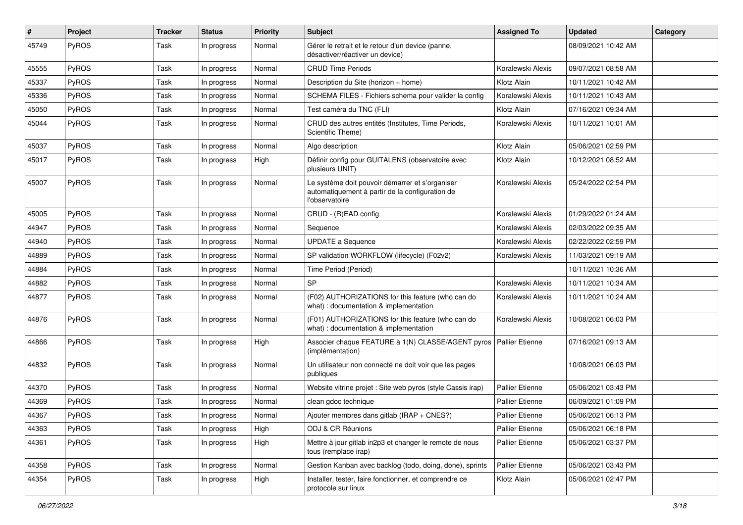| #     | Project | <b>Tracker</b> | <b>Status</b> | <b>Priority</b> | <b>Subject</b>                                                                                                       | <b>Assigned To</b>     | <b>Updated</b>      | Category |
|-------|---------|----------------|---------------|-----------------|----------------------------------------------------------------------------------------------------------------------|------------------------|---------------------|----------|
| 45749 | PyROS   | Task           | In progress   | Normal          | Gérer le retrait et le retour d'un device (panne,<br>désactiver/réactiver un device)                                 |                        | 08/09/2021 10:42 AM |          |
| 45555 | PyROS   | Task           | In progress   | Normal          | <b>CRUD Time Periods</b>                                                                                             | Koralewski Alexis      | 09/07/2021 08:58 AM |          |
| 45337 | PyROS   | Task           | In progress   | Normal          | Description du Site (horizon + home)                                                                                 | Klotz Alain            | 10/11/2021 10:42 AM |          |
| 45336 | PyROS   | Task           | In progress   | Normal          | SCHEMA FILES - Fichiers schema pour valider la config                                                                | Koralewski Alexis      | 10/11/2021 10:43 AM |          |
| 45050 | PyROS   | Task           | In progress   | Normal          | Test caméra du TNC (FLI)                                                                                             | Klotz Alain            | 07/16/2021 09:34 AM |          |
| 45044 | PyROS   | Task           | In progress   | Normal          | CRUD des autres entités (Institutes, Time Periods,<br>Scientific Theme)                                              | Koralewski Alexis      | 10/11/2021 10:01 AM |          |
| 45037 | PyROS   | Task           | In progress   | Normal          | Algo description                                                                                                     | Klotz Alain            | 05/06/2021 02:59 PM |          |
| 45017 | PyROS   | Task           | In progress   | High            | Définir config pour GUITALENS (observatoire avec<br>plusieurs UNIT)                                                  | Klotz Alain            | 10/12/2021 08:52 AM |          |
| 45007 | PyROS   | Task           | In progress   | Normal          | Le système doit pouvoir démarrer et s'organiser<br>automatiquement à partir de la configuration de<br>l'observatoire | Koralewski Alexis      | 05/24/2022 02:54 PM |          |
| 45005 | PyROS   | Task           | In progress   | Normal          | CRUD - (R)EAD config                                                                                                 | Koralewski Alexis      | 01/29/2022 01:24 AM |          |
| 44947 | PyROS   | Task           | In progress   | Normal          | Sequence                                                                                                             | Koralewski Alexis      | 02/03/2022 09:35 AM |          |
| 44940 | PyROS   | Task           | In progress   | Normal          | <b>UPDATE a Sequence</b>                                                                                             | Koralewski Alexis      | 02/22/2022 02:59 PM |          |
| 44889 | PyROS   | Task           | In progress   | Normal          | SP validation WORKFLOW (lifecycle) (F02v2)                                                                           | Koralewski Alexis      | 11/03/2021 09:19 AM |          |
| 44884 | PyROS   | Task           | In progress   | Normal          | Time Period (Period)                                                                                                 |                        | 10/11/2021 10:36 AM |          |
| 44882 | PyROS   | Task           | In progress   | Normal          | SP                                                                                                                   | Koralewski Alexis      | 10/11/2021 10:34 AM |          |
| 44877 | PyROS   | Task           | In progress   | Normal          | (F02) AUTHORIZATIONS for this feature (who can do<br>what) : documentation & implementation                          | Koralewski Alexis      | 10/11/2021 10:24 AM |          |
| 44876 | PyROS   | Task           | In progress   | Normal          | (F01) AUTHORIZATIONS for this feature (who can do<br>what) : documentation & implementation                          | Koralewski Alexis      | 10/08/2021 06:03 PM |          |
| 44866 | PyROS   | Task           | In progress   | High            | Associer chaque FEATURE à 1(N) CLASSE/AGENT pyros<br>(implémentation)                                                | <b>Pallier Etienne</b> | 07/16/2021 09:13 AM |          |
| 44832 | PyROS   | Task           | In progress   | Normal          | Un utilisateur non connecté ne doit voir que les pages<br>publiques                                                  |                        | 10/08/2021 06:03 PM |          |
| 44370 | PyROS   | Task           | In progress   | Normal          | Website vitrine projet : Site web pyros (style Cassis irap)                                                          | <b>Pallier Etienne</b> | 05/06/2021 03:43 PM |          |
| 44369 | PyROS   | Task           | In progress   | Normal          | clean gdoc technique                                                                                                 | <b>Pallier Etienne</b> | 06/09/2021 01:09 PM |          |
| 44367 | PyROS   | Task           | In progress   | Normal          | Ajouter membres dans gitlab (IRAP + $CNES$ ?)                                                                        | <b>Pallier Etienne</b> | 05/06/2021 06:13 PM |          |
| 44363 | PyROS   | Task           | In progress   | High            | ODJ & CR Réunions                                                                                                    | Pallier Etienne        | 05/06/2021 06:18 PM |          |
| 44361 | PyROS   | Task           | In progress   | High            | Mettre à jour gitlab in2p3 et changer le remote de nous<br>tous (remplace irap)                                      | Pallier Etienne        | 05/06/2021 03:37 PM |          |
| 44358 | PyROS   | Task           | In progress   | Normal          | Gestion Kanban avec backlog (todo, doing, done), sprints                                                             | <b>Pallier Etienne</b> | 05/06/2021 03:43 PM |          |
| 44354 | PyROS   | Task           | In progress   | High            | Installer, tester, faire fonctionner, et comprendre ce<br>protocole sur linux                                        | Klotz Alain            | 05/06/2021 02:47 PM |          |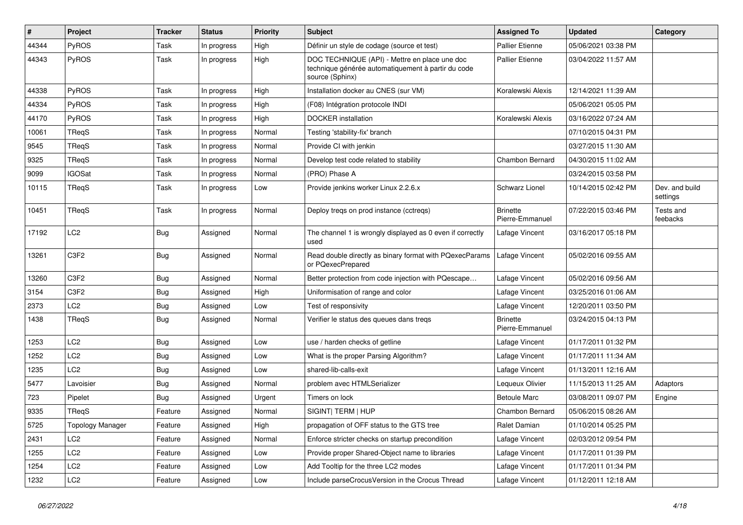| $\sharp$ | Project                 | <b>Tracker</b> | <b>Status</b> | <b>Priority</b> | <b>Subject</b>                                                                                                         | <b>Assigned To</b>                 | <b>Updated</b>      | Category                   |
|----------|-------------------------|----------------|---------------|-----------------|------------------------------------------------------------------------------------------------------------------------|------------------------------------|---------------------|----------------------------|
| 44344    | PyROS                   | Task           | In progress   | High            | Définir un style de codage (source et test)                                                                            | <b>Pallier Etienne</b>             | 05/06/2021 03:38 PM |                            |
| 44343    | PyROS                   | Task           | In progress   | High            | DOC TECHNIQUE (API) - Mettre en place une doc<br>technique générée automatiquement à partir du code<br>source (Sphinx) | <b>Pallier Etienne</b>             | 03/04/2022 11:57 AM |                            |
| 44338    | PyROS                   | Task           | In progress   | High            | Installation docker au CNES (sur VM)                                                                                   | Koralewski Alexis                  | 12/14/2021 11:39 AM |                            |
| 44334    | PyROS                   | Task           | In progress   | High            | (F08) Intégration protocole INDI                                                                                       |                                    | 05/06/2021 05:05 PM |                            |
| 44170    | PyROS                   | Task           | In progress   | High            | <b>DOCKER</b> installation                                                                                             | Koralewski Alexis                  | 03/16/2022 07:24 AM |                            |
| 10061    | TReqS                   | Task           | In progress   | Normal          | Testing 'stability-fix' branch                                                                                         |                                    | 07/10/2015 04:31 PM |                            |
| 9545     | TReqS                   | Task           | In progress   | Normal          | Provide CI with jenkin                                                                                                 |                                    | 03/27/2015 11:30 AM |                            |
| 9325     | TReqS                   | Task           | In progress   | Normal          | Develop test code related to stability                                                                                 | Chambon Bernard                    | 04/30/2015 11:02 AM |                            |
| 9099     | <b>IGOSat</b>           | Task           | In progress   | Normal          | (PRO) Phase A                                                                                                          |                                    | 03/24/2015 03:58 PM |                            |
| 10115    | TReqS                   | Task           | In progress   | Low             | Provide jenkins worker Linux 2.2.6.x                                                                                   | Schwarz Lionel                     | 10/14/2015 02:42 PM | Dev. and build<br>settings |
| 10451    | TReqS                   | Task           | In progress   | Normal          | Deploy treqs on prod instance (cctreqs)                                                                                | <b>Brinette</b><br>Pierre-Emmanuel | 07/22/2015 03:46 PM | Tests and<br>feebacks      |
| 17192    | LC <sub>2</sub>         | <b>Bug</b>     | Assigned      | Normal          | The channel 1 is wrongly displayed as 0 even if correctly<br>used                                                      | Lafage Vincent                     | 03/16/2017 05:18 PM |                            |
| 13261    | C3F2                    | <b>Bug</b>     | Assigned      | Normal          | Read double directly as binary format with PQexecParams<br>or PQexecPrepared                                           | Lafage Vincent                     | 05/02/2016 09:55 AM |                            |
| 13260    | C3F2                    | <b>Bug</b>     | Assigned      | Normal          | Better protection from code injection with PQescape                                                                    | Lafage Vincent                     | 05/02/2016 09:56 AM |                            |
| 3154     | C3F2                    | <b>Bug</b>     | Assigned      | High            | Uniformisation of range and color                                                                                      | Lafage Vincent                     | 03/25/2016 01:06 AM |                            |
| 2373     | LC <sub>2</sub>         | <b>Bug</b>     | Assigned      | Low             | Test of responsivity                                                                                                   | Lafage Vincent                     | 12/20/2011 03:50 PM |                            |
| 1438     | TReqS                   | <b>Bug</b>     | Assigned      | Normal          | Verifier le status des queues dans tregs                                                                               | <b>Brinette</b><br>Pierre-Emmanuel | 03/24/2015 04:13 PM |                            |
| 1253     | LC <sub>2</sub>         | <b>Bug</b>     | Assigned      | Low             | use / harden checks of getline                                                                                         | Lafage Vincent                     | 01/17/2011 01:32 PM |                            |
| 1252     | LC <sub>2</sub>         | <b>Bug</b>     | Assigned      | Low             | What is the proper Parsing Algorithm?                                                                                  | Lafage Vincent                     | 01/17/2011 11:34 AM |                            |
| 1235     | LC <sub>2</sub>         | <b>Bug</b>     | Assigned      | Low             | shared-lib-calls-exit                                                                                                  | Lafage Vincent                     | 01/13/2011 12:16 AM |                            |
| 5477     | Lavoisier               | <b>Bug</b>     | Assigned      | Normal          | problem avec HTMLSerializer                                                                                            | Lequeux Olivier                    | 11/15/2013 11:25 AM | <b>Adaptors</b>            |
| 723      | Pipelet                 | <b>Bug</b>     | Assigned      | Urgent          | Timers on lock                                                                                                         | <b>Betoule Marc</b>                | 03/08/2011 09:07 PM | Engine                     |
| 9335     | TReqS                   | Feature        | Assigned      | Normal          | SIGINT  TERM   HUP                                                                                                     | <b>Chambon Bernard</b>             | 05/06/2015 08:26 AM |                            |
| 5725     | <b>Topology Manager</b> | Feature        | Assigned      | High            | propagation of OFF status to the GTS tree                                                                              | Ralet Damian                       | 01/10/2014 05:25 PM |                            |
| 2431     | LC <sub>2</sub>         | Feature        | Assigned      | Normal          | Enforce stricter checks on startup precondition                                                                        | Lafage Vincent                     | 02/03/2012 09:54 PM |                            |
| 1255     | LC <sub>2</sub>         | Feature        | Assigned      | Low             | Provide proper Shared-Object name to libraries                                                                         | Lafage Vincent                     | 01/17/2011 01:39 PM |                            |
| 1254     | LC <sub>2</sub>         | Feature        | Assigned      | Low             | Add Tooltip for the three LC2 modes                                                                                    | Lafage Vincent                     | 01/17/2011 01:34 PM |                            |
| 1232     | LC <sub>2</sub>         | Feature        | Assigned      | Low             | Include parseCrocusVersion in the Crocus Thread                                                                        | Lafage Vincent                     | 01/12/2011 12:18 AM |                            |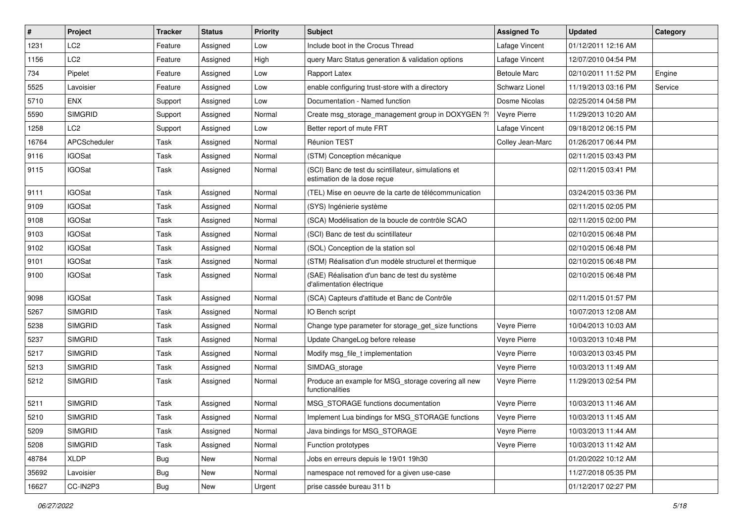| $\vert$ # | Project         | <b>Tracker</b> | <b>Status</b> | <b>Priority</b> | Subject                                                                            | <b>Assigned To</b>  | <b>Updated</b>      | Category |
|-----------|-----------------|----------------|---------------|-----------------|------------------------------------------------------------------------------------|---------------------|---------------------|----------|
| 1231      | LC <sub>2</sub> | Feature        | Assigned      | Low             | Include boot in the Crocus Thread                                                  | Lafage Vincent      | 01/12/2011 12:16 AM |          |
| 1156      | LC <sub>2</sub> | Feature        | Assigned      | High            | query Marc Status generation & validation options                                  | Lafage Vincent      | 12/07/2010 04:54 PM |          |
| 734       | Pipelet         | Feature        | Assigned      | Low             | Rapport Latex                                                                      | <b>Betoule Marc</b> | 02/10/2011 11:52 PM | Engine   |
| 5525      | Lavoisier       | Feature        | Assigned      | Low             | enable configuring trust-store with a directory                                    | Schwarz Lionel      | 11/19/2013 03:16 PM | Service  |
| 5710      | <b>ENX</b>      | Support        | Assigned      | Low             | Documentation - Named function                                                     | Dosme Nicolas       | 02/25/2014 04:58 PM |          |
| 5590      | <b>SIMGRID</b>  | Support        | Assigned      | Normal          | Create msg_storage_management group in DOXYGEN ?!                                  | Veyre Pierre        | 11/29/2013 10:20 AM |          |
| 1258      | LC <sub>2</sub> | Support        | Assigned      | Low             | Better report of mute FRT                                                          | Lafage Vincent      | 09/18/2012 06:15 PM |          |
| 16764     | APCScheduler    | Task           | Assigned      | Normal          | <b>Réunion TEST</b>                                                                | Colley Jean-Marc    | 01/26/2017 06:44 PM |          |
| 9116      | <b>IGOSat</b>   | Task           | Assigned      | Normal          | (STM) Conception mécanique                                                         |                     | 02/11/2015 03:43 PM |          |
| 9115      | <b>IGOSat</b>   | Task           | Assigned      | Normal          | (SCI) Banc de test du scintillateur, simulations et<br>estimation de la dose reçue |                     | 02/11/2015 03:41 PM |          |
| 9111      | <b>IGOSat</b>   | Task           | Assigned      | Normal          | (TEL) Mise en oeuvre de la carte de télécommunication                              |                     | 03/24/2015 03:36 PM |          |
| 9109      | <b>IGOSat</b>   | Task           | Assigned      | Normal          | (SYS) Ingénierie système                                                           |                     | 02/11/2015 02:05 PM |          |
| 9108      | <b>IGOSat</b>   | Task           | Assigned      | Normal          | (SCA) Modélisation de la boucle de contrôle SCAO                                   |                     | 02/11/2015 02:00 PM |          |
| 9103      | <b>IGOSat</b>   | Task           | Assigned      | Normal          | (SCI) Banc de test du scintillateur                                                |                     | 02/10/2015 06:48 PM |          |
| 9102      | <b>IGOSat</b>   | Task           | Assigned      | Normal          | (SOL) Conception de la station sol                                                 |                     | 02/10/2015 06:48 PM |          |
| 9101      | <b>IGOSat</b>   | Task           | Assigned      | Normal          | (STM) Réalisation d'un modèle structurel et thermique                              |                     | 02/10/2015 06:48 PM |          |
| 9100      | <b>IGOSat</b>   | Task           | Assigned      | Normal          | (SAE) Réalisation d'un banc de test du système<br>d'alimentation électrique        |                     | 02/10/2015 06:48 PM |          |
| 9098      | <b>IGOSat</b>   | Task           | Assigned      | Normal          | (SCA) Capteurs d'attitude et Banc de Contrôle                                      |                     | 02/11/2015 01:57 PM |          |
| 5267      | <b>SIMGRID</b>  | Task           | Assigned      | Normal          | IO Bench script                                                                    |                     | 10/07/2013 12:08 AM |          |
| 5238      | <b>SIMGRID</b>  | Task           | Assigned      | Normal          | Change type parameter for storage_get_size functions                               | Veyre Pierre        | 10/04/2013 10:03 AM |          |
| 5237      | <b>SIMGRID</b>  | Task           | Assigned      | Normal          | Update ChangeLog before release                                                    | Veyre Pierre        | 10/03/2013 10:48 PM |          |
| 5217      | <b>SIMGRID</b>  | Task           | Assigned      | Normal          | Modify msg_file_t implementation                                                   | Veyre Pierre        | 10/03/2013 03:45 PM |          |
| 5213      | <b>SIMGRID</b>  | Task           | Assigned      | Normal          | SIMDAG storage                                                                     | Veyre Pierre        | 10/03/2013 11:49 AM |          |
| 5212      | <b>SIMGRID</b>  | Task           | Assigned      | Normal          | Produce an example for MSG_storage covering all new<br>functionalities             | Veyre Pierre        | 11/29/2013 02:54 PM |          |
| 5211      | <b>SIMGRID</b>  | Task           | Assigned      | Normal          | MSG_STORAGE functions documentation                                                | Veyre Pierre        | 10/03/2013 11:46 AM |          |
| 5210      | <b>SIMGRID</b>  | Task           | Assigned      | Normal          | Implement Lua bindings for MSG_STORAGE functions                                   | Veyre Pierre        | 10/03/2013 11:45 AM |          |
| 5209      | <b>SIMGRID</b>  | Task           | Assigned      | Normal          | Java bindings for MSG_STORAGE                                                      | Veyre Pierre        | 10/03/2013 11:44 AM |          |
| 5208      | <b>SIMGRID</b>  | Task           | Assigned      | Normal          | Function prototypes                                                                | Veyre Pierre        | 10/03/2013 11:42 AM |          |
| 48784     | <b>XLDP</b>     | <b>Bug</b>     | New           | Normal          | Jobs en erreurs depuis le 19/01 19h30                                              |                     | 01/20/2022 10:12 AM |          |
| 35692     | Lavoisier       | <b>Bug</b>     | New           | Normal          | namespace not removed for a given use-case                                         |                     | 11/27/2018 05:35 PM |          |
| 16627     | CC-IN2P3        | Bug            | New           | Urgent          | prise cassée bureau 311 b                                                          |                     | 01/12/2017 02:27 PM |          |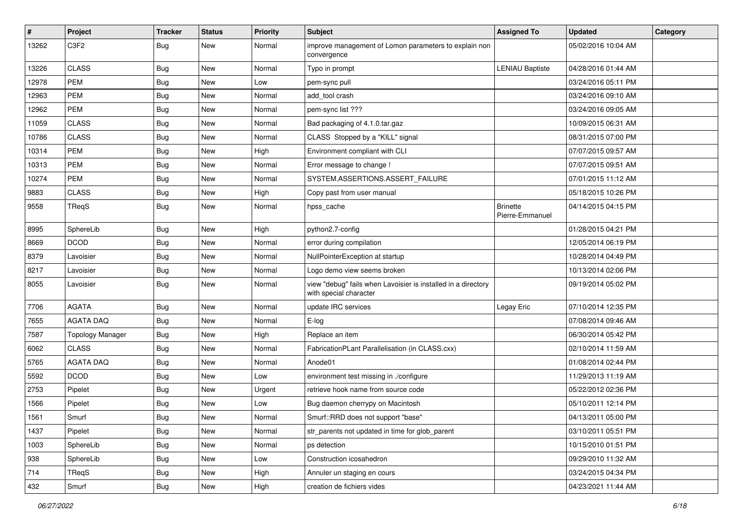| $\vert$ # | Project                 | <b>Tracker</b> | <b>Status</b> | <b>Priority</b> | <b>Subject</b>                                                                          | <b>Assigned To</b>                 | <b>Updated</b>      | Category |
|-----------|-------------------------|----------------|---------------|-----------------|-----------------------------------------------------------------------------------------|------------------------------------|---------------------|----------|
| 13262     | C <sub>3F2</sub>        | <b>Bug</b>     | New           | Normal          | improve management of Lomon parameters to explain non<br>convergence                    |                                    | 05/02/2016 10:04 AM |          |
| 13226     | <b>CLASS</b>            | <b>Bug</b>     | New           | Normal          | Typo in prompt                                                                          | <b>LENIAU Baptiste</b>             | 04/28/2016 01:44 AM |          |
| 12978     | <b>PEM</b>              | <b>Bug</b>     | New           | Low             | pem-sync pull                                                                           |                                    | 03/24/2016 05:11 PM |          |
| 12963     | <b>PEM</b>              | <b>Bug</b>     | New           | Normal          | add_tool crash                                                                          |                                    | 03/24/2016 09:10 AM |          |
| 12962     | <b>PEM</b>              | <b>Bug</b>     | New           | Normal          | pem-sync list ???                                                                       |                                    | 03/24/2016 09:05 AM |          |
| 11059     | <b>CLASS</b>            | Bug            | New           | Normal          | Bad packaging of 4.1.0.tar.gaz                                                          |                                    | 10/09/2015 06:31 AM |          |
| 10786     | <b>CLASS</b>            | <b>Bug</b>     | New           | Normal          | CLASS Stopped by a "KILL" signal                                                        |                                    | 08/31/2015 07:00 PM |          |
| 10314     | <b>PEM</b>              | <b>Bug</b>     | New           | High            | Environment compliant with CLI                                                          |                                    | 07/07/2015 09:57 AM |          |
| 10313     | <b>PEM</b>              | <b>Bug</b>     | New           | Normal          | Error message to change !                                                               |                                    | 07/07/2015 09:51 AM |          |
| 10274     | PEM                     | <b>Bug</b>     | New           | Normal          | SYSTEM.ASSERTIONS.ASSERT_FAILURE                                                        |                                    | 07/01/2015 11:12 AM |          |
| 9883      | <b>CLASS</b>            | <b>Bug</b>     | New           | High            | Copy past from user manual                                                              |                                    | 05/18/2015 10:26 PM |          |
| 9558      | TReqS                   | <b>Bug</b>     | New           | Normal          | hpss_cache                                                                              | <b>Brinette</b><br>Pierre-Emmanuel | 04/14/2015 04:15 PM |          |
| 8995      | SphereLib               | <b>Bug</b>     | New           | High            | python2.7-config                                                                        |                                    | 01/28/2015 04:21 PM |          |
| 8669      | <b>DCOD</b>             | <b>Bug</b>     | New           | Normal          | error during compilation                                                                |                                    | 12/05/2014 06:19 PM |          |
| 8379      | Lavoisier               | <b>Bug</b>     | New           | Normal          | NullPointerException at startup                                                         |                                    | 10/28/2014 04:49 PM |          |
| 8217      | Lavoisier               | <b>Bug</b>     | New           | Normal          | Logo demo view seems broken                                                             |                                    | 10/13/2014 02:06 PM |          |
| 8055      | Lavoisier               | <b>Bug</b>     | New           | Normal          | view "debug" fails when Lavoisier is installed in a directory<br>with special character |                                    | 09/19/2014 05:02 PM |          |
| 7706      | <b>AGATA</b>            | <b>Bug</b>     | New           | Normal          | update IRC services                                                                     | Legay Eric                         | 07/10/2014 12:35 PM |          |
| 7655      | <b>AGATA DAQ</b>        | <b>Bug</b>     | New           | Normal          | E-log                                                                                   |                                    | 07/08/2014 09:46 AM |          |
| 7587      | <b>Topology Manager</b> | Bug            | New           | High            | Replace an item                                                                         |                                    | 06/30/2014 05:42 PM |          |
| 6062      | <b>CLASS</b>            | <b>Bug</b>     | New           | Normal          | FabricationPLant Parallelisation (in CLASS.cxx)                                         |                                    | 02/10/2014 11:59 AM |          |
| 5765      | <b>AGATA DAQ</b>        | <b>Bug</b>     | New           | Normal          | Anode01                                                                                 |                                    | 01/08/2014 02:44 PM |          |
| 5592      | <b>DCOD</b>             | <b>Bug</b>     | New           | Low             | environment test missing in ./configure                                                 |                                    | 11/29/2013 11:19 AM |          |
| 2753      | Pipelet                 | <b>Bug</b>     | New           | Urgent          | retrieve hook name from source code                                                     |                                    | 05/22/2012 02:36 PM |          |
| 1566      | Pipelet                 | <b>Bug</b>     | New           | Low             | Bug daemon cherrypy on Macintosh                                                        |                                    | 05/10/2011 12:14 PM |          |
| 1561      | Smurf                   | Bug            | New           | Normal          | Smurf::RRD does not support "base"                                                      |                                    | 04/13/2011 05:00 PM |          |
| 1437      | Pipelet                 | <b>Bug</b>     | New           | Normal          | str_parents not updated in time for glob_parent                                         |                                    | 03/10/2011 05:51 PM |          |
| 1003      | SphereLib               | Bug            | New           | Normal          | ps detection                                                                            |                                    | 10/15/2010 01:51 PM |          |
| 938       | SphereLib               | <b>Bug</b>     | New           | Low             | Construction icosahedron                                                                |                                    | 09/29/2010 11:32 AM |          |
| 714       | TReqS                   | <b>Bug</b>     | New           | High            | Annuler un staging en cours                                                             |                                    | 03/24/2015 04:34 PM |          |
| 432       | Smurf                   | Bug            | New           | High            | creation de fichiers vides                                                              |                                    | 04/23/2021 11:44 AM |          |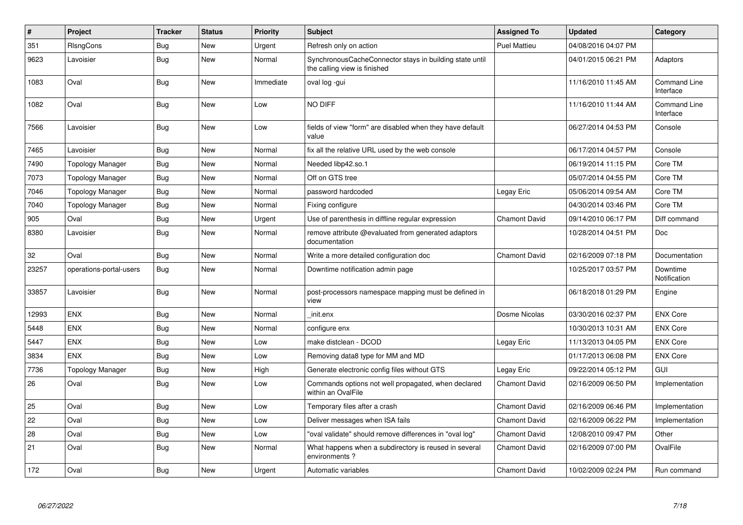| $\vert$ # | <b>Project</b>          | <b>Tracker</b> | <b>Status</b> | <b>Priority</b> | <b>Subject</b>                                                                          | <b>Assigned To</b>   | <b>Updated</b>      | Category                         |
|-----------|-------------------------|----------------|---------------|-----------------|-----------------------------------------------------------------------------------------|----------------------|---------------------|----------------------------------|
| 351       | RIsngCons               | Bug            | New           | Urgent          | Refresh only on action                                                                  | <b>Puel Mattieu</b>  | 04/08/2016 04:07 PM |                                  |
| 9623      | Lavoisier               | Bug            | <b>New</b>    | Normal          | SynchronousCacheConnector stays in building state until<br>the calling view is finished |                      | 04/01/2015 06:21 PM | Adaptors                         |
| 1083      | Oval                    | <b>Bug</b>     | New           | Immediate       | oval log -gui                                                                           |                      | 11/16/2010 11:45 AM | <b>Command Line</b><br>Interface |
| 1082      | Oval                    | <b>Bug</b>     | New           | Low             | NO DIFF                                                                                 |                      | 11/16/2010 11:44 AM | <b>Command Line</b><br>Interface |
| 7566      | Lavoisier               | <b>Bug</b>     | New           | Low             | fields of view "form" are disabled when they have default<br>value                      |                      | 06/27/2014 04:53 PM | Console                          |
| 7465      | Lavoisier               | <b>Bug</b>     | <b>New</b>    | Normal          | fix all the relative URL used by the web console                                        |                      | 06/17/2014 04:57 PM | Console                          |
| 7490      | <b>Topology Manager</b> | <b>Bug</b>     | New           | Normal          | Needed libp42.so.1                                                                      |                      | 06/19/2014 11:15 PM | Core TM                          |
| 7073      | <b>Topology Manager</b> | <b>Bug</b>     | <b>New</b>    | Normal          | Off on GTS tree                                                                         |                      | 05/07/2014 04:55 PM | Core TM                          |
| 7046      | <b>Topology Manager</b> | Bug            | <b>New</b>    | Normal          | password hardcoded                                                                      | Legay Eric           | 05/06/2014 09:54 AM | Core TM                          |
| 7040      | <b>Topology Manager</b> | Bug            | <b>New</b>    | Normal          | Fixing configure                                                                        |                      | 04/30/2014 03:46 PM | Core TM                          |
| 905       | Oval                    | <b>Bug</b>     | <b>New</b>    | Urgent          | Use of parenthesis in diffline regular expression                                       | <b>Chamont David</b> | 09/14/2010 06:17 PM | Diff command                     |
| 8380      | Lavoisier               | <b>Bug</b>     | <b>New</b>    | Normal          | remove attribute @evaluated from generated adaptors<br>documentation                    |                      | 10/28/2014 04:51 PM | <b>Doc</b>                       |
| 32        | Oval                    | <b>Bug</b>     | <b>New</b>    | Normal          | Write a more detailed configuration doc                                                 | <b>Chamont David</b> | 02/16/2009 07:18 PM | Documentation                    |
| 23257     | operations-portal-users | <b>Bug</b>     | New           | Normal          | Downtime notification admin page                                                        |                      | 10/25/2017 03:57 PM | Downtime<br>Notification         |
| 33857     | Lavoisier               | <b>Bug</b>     | <b>New</b>    | Normal          | post-processors namespace mapping must be defined in<br>view                            |                      | 06/18/2018 01:29 PM | Engine                           |
| 12993     | <b>ENX</b>              | <b>Bug</b>     | <b>New</b>    | Normal          | init.enx                                                                                | Dosme Nicolas        | 03/30/2016 02:37 PM | <b>ENX Core</b>                  |
| 5448      | <b>ENX</b>              | <b>Bug</b>     | <b>New</b>    | Normal          | configure enx                                                                           |                      | 10/30/2013 10:31 AM | <b>ENX Core</b>                  |
| 5447      | <b>ENX</b>              | <b>Bug</b>     | <b>New</b>    | Low             | make distclean - DCOD                                                                   | Legay Eric           | 11/13/2013 04:05 PM | <b>ENX Core</b>                  |
| 3834      | <b>ENX</b>              | Bug            | New           | Low             | Removing data8 type for MM and MD                                                       |                      | 01/17/2013 06:08 PM | <b>ENX Core</b>                  |
| 7736      | <b>Topology Manager</b> | Bug            | New           | High            | Generate electronic config files without GTS                                            | Legay Eric           | 09/22/2014 05:12 PM | GUI                              |
| 26        | Oval                    | <b>Bug</b>     | <b>New</b>    | Low             | Commands options not well propagated, when declared<br>within an OvalFile               | <b>Chamont David</b> | 02/16/2009 06:50 PM | Implementation                   |
| 25        | Oval                    | <b>Bug</b>     | New           | Low             | Temporary files after a crash                                                           | <b>Chamont David</b> | 02/16/2009 06:46 PM | Implementation                   |
| 22        | Oval                    | Bug            | <b>New</b>    | Low             | Deliver messages when ISA fails                                                         | <b>Chamont David</b> | 02/16/2009 06:22 PM | Implementation                   |
| 28        | Oval                    | Bug            | <b>New</b>    | Low             | 'oval validate" should remove differences in "oval log"                                 | <b>Chamont David</b> | 12/08/2010 09:47 PM | Other                            |
| 21        | Oval                    | Bug            | <b>New</b>    | Normal          | What happens when a subdirectory is reused in several<br>environments?                  | <b>Chamont David</b> | 02/16/2009 07:00 PM | OvalFile                         |
| 172       | Oval                    | <b>Bug</b>     | <b>New</b>    | Urgent          | Automatic variables                                                                     | <b>Chamont David</b> | 10/02/2009 02:24 PM | Run command                      |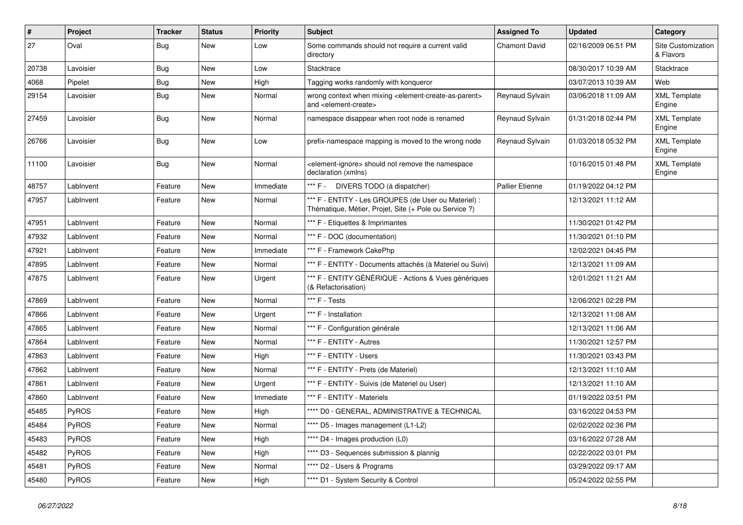| $\pmb{\#}$ | Project   | <b>Tracker</b> | <b>Status</b> | <b>Priority</b> | Subject                                                                                                                   | <b>Assigned To</b>     | <b>Updated</b>      | Category                        |
|------------|-----------|----------------|---------------|-----------------|---------------------------------------------------------------------------------------------------------------------------|------------------------|---------------------|---------------------------------|
| 27         | Oval      | Bug            | New           | Low             | Some commands should not require a current valid<br>directory                                                             | <b>Chamont David</b>   | 02/16/2009 06:51 PM | Site Customization<br>& Flavors |
| 20738      | Lavoisier | <b>Bug</b>     | <b>New</b>    | Low             | Stacktrace                                                                                                                |                        | 08/30/2017 10:39 AM | Stacktrace                      |
| 4068       | Pipelet   | <b>Bug</b>     | <b>New</b>    | High            | Tagging works randomly with konqueror                                                                                     |                        | 03/07/2013 10:39 AM | Web                             |
| 29154      | Lavoisier | <b>Bug</b>     | New           | Normal          | wrong context when mixing <element-create-as-parent><br/>and <element-create></element-create></element-create-as-parent> | Reynaud Sylvain        | 03/06/2018 11:09 AM | <b>XML Template</b><br>Engine   |
| 27459      | Lavoisier | <b>Bug</b>     | <b>New</b>    | Normal          | namespace disappear when root node is renamed                                                                             | Reynaud Sylvain        | 01/31/2018 02:44 PM | <b>XML Template</b><br>Engine   |
| 26766      | Lavoisier | Bug            | New           | Low             | prefix-namespace mapping is moved to the wrong node                                                                       | Reynaud Sylvain        | 01/03/2018 05:32 PM | <b>XML Template</b><br>Engine   |
| 11100      | Lavoisier | Bug            | New           | Normal          | <element-ignore> should not remove the namespace<br/>declaration (xmlns)</element-ignore>                                 |                        | 10/16/2015 01:48 PM | <b>XML Template</b><br>Engine   |
| 48757      | LabInvent | Feature        | <b>New</b>    | Immediate       | *** F - DIVERS TODO (à dispatcher)                                                                                        | <b>Pallier Etienne</b> | 01/19/2022 04:12 PM |                                 |
| 47957      | LabInvent | Feature        | New           | Normal          | *** F - ENTITY - Les GROUPES (de User ou Materiel) :<br>Thématique, Métier, Projet, Site (+ Pole ou Service ?)            |                        | 12/13/2021 11:12 AM |                                 |
| 47951      | LabInvent | Feature        | <b>New</b>    | Normal          | *** F - Etiquettes & Imprimantes                                                                                          |                        | 11/30/2021 01:42 PM |                                 |
| 47932      | LabInvent | Feature        | New           | Normal          | *** F - DOC (documentation)                                                                                               |                        | 11/30/2021 01:10 PM |                                 |
| 47921      | LabInvent | Feature        | <b>New</b>    | Immediate       | *** F - Framework CakePhp                                                                                                 |                        | 12/02/2021 04:45 PM |                                 |
| 47895      | LabInvent | Feature        | New           | Normal          | *** F - ENTITY - Documents attachés (à Materiel ou Suivi)                                                                 |                        | 12/13/2021 11:09 AM |                                 |
| 47875      | LabInvent | Feature        | New           | Urgent          | *** F - ENTITY GÉNÉRIQUE - Actions & Vues génériques<br>(& Refactorisation)                                               |                        | 12/01/2021 11:21 AM |                                 |
| 47869      | LabInvent | Feature        | <b>New</b>    | Normal          | *** F - Tests                                                                                                             |                        | 12/06/2021 02:28 PM |                                 |
| 47866      | LabInvent | Feature        | New           | Urgent          | *** F - Installation                                                                                                      |                        | 12/13/2021 11:08 AM |                                 |
| 47865      | LabInvent | Feature        | New           | Normal          | *** F - Configuration générale                                                                                            |                        | 12/13/2021 11:06 AM |                                 |
| 47864      | LabInvent | Feature        | New           | Normal          | *** F - ENTITY - Autres                                                                                                   |                        | 11/30/2021 12:57 PM |                                 |
| 47863      | LabInvent | Feature        | <b>New</b>    | High            | *** F - ENTITY - Users                                                                                                    |                        | 11/30/2021 03:43 PM |                                 |
| 47862      | LabInvent | Feature        | New           | Normal          | *** F - ENTITY - Prets (de Materiel)                                                                                      |                        | 12/13/2021 11:10 AM |                                 |
| 47861      | LabInvent | Feature        | New           | Urgent          | *** F - ENTITY - Suivis (de Materiel ou User)                                                                             |                        | 12/13/2021 11:10 AM |                                 |
| 47860      | LabInvent | Feature        | New           | Immediate       | *** F - ENTITY - Materiels                                                                                                |                        | 01/19/2022 03:51 PM |                                 |
| 45485      | PyROS     | Feature        | New           | High            | **** D0 - GENERAL, ADMINISTRATIVE & TECHNICAL                                                                             |                        | 03/16/2022 04:53 PM |                                 |
| 45484      | PyROS     | Feature        | New           | Normal          | **** D5 - Images management (L1-L2)                                                                                       |                        | 02/02/2022 02:36 PM |                                 |
| 45483      | PyROS     | Feature        | New           | High            | **** D4 - Images production (L0)                                                                                          |                        | 03/16/2022 07:28 AM |                                 |
| 45482      | PyROS     | Feature        | New           | High            | **** D3 - Sequences submission & plannig                                                                                  |                        | 02/22/2022 03:01 PM |                                 |
| 45481      | PyROS     | Feature        | New           | Normal          | **** D2 - Users & Programs                                                                                                |                        | 03/29/2022 09:17 AM |                                 |
| 45480      | PyROS     | Feature        | New           | High            | **** D1 - System Security & Control                                                                                       |                        | 05/24/2022 02:55 PM |                                 |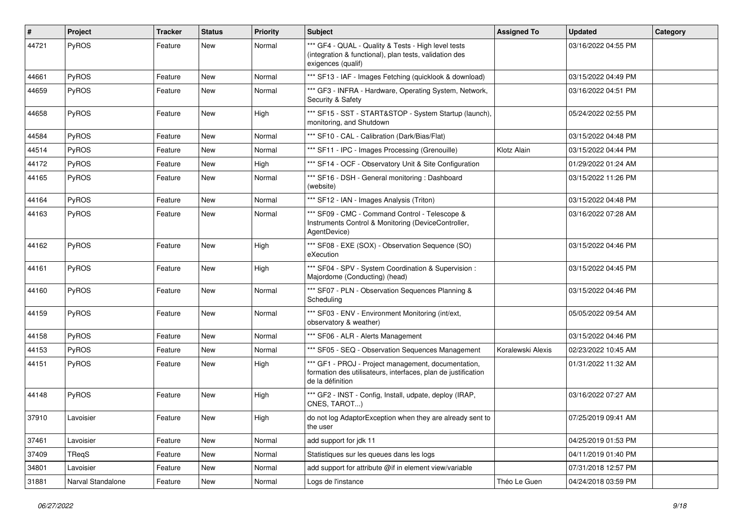| #     | Project           | <b>Tracker</b> | <b>Status</b> | <b>Priority</b> | <b>Subject</b>                                                                                                                           | <b>Assigned To</b> | <b>Updated</b>      | Category |
|-------|-------------------|----------------|---------------|-----------------|------------------------------------------------------------------------------------------------------------------------------------------|--------------------|---------------------|----------|
| 44721 | PyROS             | Feature        | New           | Normal          | *** GF4 - QUAL - Quality & Tests - High level tests<br>(integration & functional), plan tests, validation des<br>exigences (qualif)      |                    | 03/16/2022 04:55 PM |          |
| 44661 | PyROS             | Feature        | New           | Normal          | *** SF13 - IAF - Images Fetching (quicklook & download)                                                                                  |                    | 03/15/2022 04:49 PM |          |
| 44659 | PyROS             | Feature        | New           | Normal          | *** GF3 - INFRA - Hardware, Operating System, Network,<br>Security & Safety                                                              |                    | 03/16/2022 04:51 PM |          |
| 44658 | PyROS             | Feature        | New           | High            | *** SF15 - SST - START&STOP - System Startup (launch),<br>monitoring, and Shutdown                                                       |                    | 05/24/2022 02:55 PM |          |
| 44584 | PyROS             | Feature        | New           | Normal          | *** SF10 - CAL - Calibration (Dark/Bias/Flat)                                                                                            |                    | 03/15/2022 04:48 PM |          |
| 44514 | PyROS             | Feature        | New           | Normal          | *** SF11 - IPC - Images Processing (Grenouille)                                                                                          | Klotz Alain        | 03/15/2022 04:44 PM |          |
| 44172 | PyROS             | Feature        | New           | High            | *** SF14 - OCF - Observatory Unit & Site Configuration                                                                                   |                    | 01/29/2022 01:24 AM |          |
| 44165 | PyROS             | Feature        | New           | Normal          | *** SF16 - DSH - General monitoring: Dashboard<br>(website)                                                                              |                    | 03/15/2022 11:26 PM |          |
| 44164 | PyROS             | Feature        | New           | Normal          | *** SF12 - IAN - Images Analysis (Triton)                                                                                                |                    | 03/15/2022 04:48 PM |          |
| 44163 | PyROS             | Feature        | New           | Normal          | *** SF09 - CMC - Command Control - Telescope &<br>Instruments Control & Monitoring (DeviceController,<br>AgentDevice)                    |                    | 03/16/2022 07:28 AM |          |
| 44162 | PyROS             | Feature        | New           | High            | *** SF08 - EXE (SOX) - Observation Sequence (SO)<br>eXecution                                                                            |                    | 03/15/2022 04:46 PM |          |
| 44161 | PyROS             | Feature        | New           | High            | *** SF04 - SPV - System Coordination & Supervision :<br>Majordome (Conducting) (head)                                                    |                    | 03/15/2022 04:45 PM |          |
| 44160 | PyROS             | Feature        | New           | Normal          | *** SF07 - PLN - Observation Sequences Planning &<br>Scheduling                                                                          |                    | 03/15/2022 04:46 PM |          |
| 44159 | PyROS             | Feature        | New           | Normal          | *** SF03 - ENV - Environment Monitoring (int/ext,<br>observatory & weather)                                                              |                    | 05/05/2022 09:54 AM |          |
| 44158 | PyROS             | Feature        | <b>New</b>    | Normal          | *** SF06 - ALR - Alerts Management                                                                                                       |                    | 03/15/2022 04:46 PM |          |
| 44153 | PyROS             | Feature        | New           | Normal          | *** SF05 - SEQ - Observation Sequences Management                                                                                        | Koralewski Alexis  | 02/23/2022 10:45 AM |          |
| 44151 | PyROS             | Feature        | New           | High            | *** GF1 - PROJ - Project management, documentation,<br>formation des utilisateurs, interfaces, plan de justification<br>de la définition |                    | 01/31/2022 11:32 AM |          |
| 44148 | PyROS             | Feature        | New           | High            | *** GF2 - INST - Config, Install, udpate, deploy (IRAP,<br>CNES, TAROT)                                                                  |                    | 03/16/2022 07:27 AM |          |
| 37910 | Lavoisier         | Feature        | New           | High            | do not log AdaptorException when they are already sent to<br>the user                                                                    |                    | 07/25/2019 09:41 AM |          |
| 37461 | Lavoisier         | Feature        | New           | Normal          | add support for jdk 11                                                                                                                   |                    | 04/25/2019 01:53 PM |          |
| 37409 | TReqS             | Feature        | New           | Normal          | Statistiques sur les queues dans les logs                                                                                                |                    | 04/11/2019 01:40 PM |          |
| 34801 | Lavoisier         | Feature        | New           | Normal          | add support for attribute @if in element view/variable                                                                                   |                    | 07/31/2018 12:57 PM |          |
| 31881 | Narval Standalone | Feature        | New           | Normal          | Logs de l'instance                                                                                                                       | Théo Le Guen       | 04/24/2018 03:59 PM |          |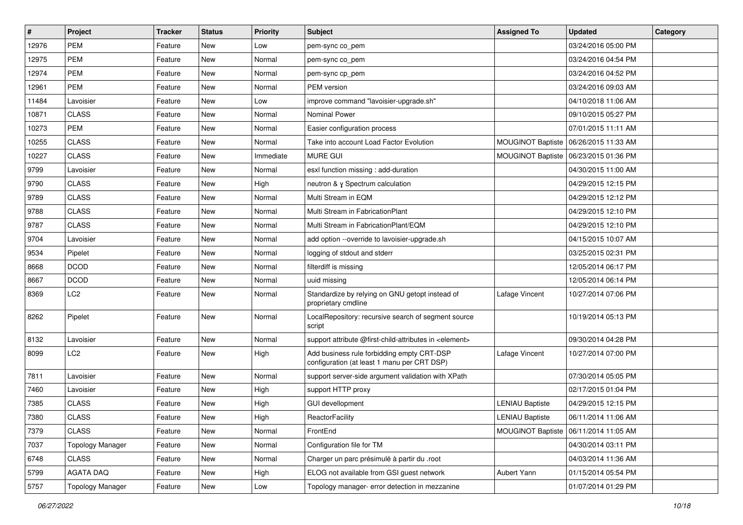| $\sharp$ | Project                 | <b>Tracker</b> | <b>Status</b> | <b>Priority</b> | <b>Subject</b>                                                                            | <b>Assigned To</b>       | <b>Updated</b>                          | Category |
|----------|-------------------------|----------------|---------------|-----------------|-------------------------------------------------------------------------------------------|--------------------------|-----------------------------------------|----------|
| 12976    | <b>PEM</b>              | Feature        | New           | Low             | pem-sync co_pem                                                                           |                          | 03/24/2016 05:00 PM                     |          |
| 12975    | PEM                     | Feature        | <b>New</b>    | Normal          | pem-sync co_pem                                                                           |                          | 03/24/2016 04:54 PM                     |          |
| 12974    | <b>PEM</b>              | Feature        | <b>New</b>    | Normal          | pem-sync cp_pem                                                                           |                          | 03/24/2016 04:52 PM                     |          |
| 12961    | <b>PEM</b>              | Feature        | New           | Normal          | PEM version                                                                               |                          | 03/24/2016 09:03 AM                     |          |
| 11484    | Lavoisier               | Feature        | <b>New</b>    | Low             | improve command "lavoisier-upgrade.sh"                                                    |                          | 04/10/2018 11:06 AM                     |          |
| 10871    | <b>CLASS</b>            | Feature        | <b>New</b>    | Normal          | Nominal Power                                                                             |                          | 09/10/2015 05:27 PM                     |          |
| 10273    | PEM                     | Feature        | <b>New</b>    | Normal          | Easier configuration process                                                              |                          | 07/01/2015 11:11 AM                     |          |
| 10255    | <b>CLASS</b>            | Feature        | New           | Normal          | Take into account Load Factor Evolution                                                   | <b>MOUGINOT Baptiste</b> | 06/26/2015 11:33 AM                     |          |
| 10227    | <b>CLASS</b>            | Feature        | <b>New</b>    | Immediate       | <b>MURE GUI</b>                                                                           |                          | MOUGINOT Baptiste   06/23/2015 01:36 PM |          |
| 9799     | Lavoisier               | Feature        | <b>New</b>    | Normal          | esxl function missing : add-duration                                                      |                          | 04/30/2015 11:00 AM                     |          |
| 9790     | <b>CLASS</b>            | Feature        | New           | High            | neutron & y Spectrum calculation                                                          |                          | 04/29/2015 12:15 PM                     |          |
| 9789     | <b>CLASS</b>            | Feature        | <b>New</b>    | Normal          | Multi Stream in EQM                                                                       |                          | 04/29/2015 12:12 PM                     |          |
| 9788     | <b>CLASS</b>            | Feature        | <b>New</b>    | Normal          | Multi Stream in FabricationPlant                                                          |                          | 04/29/2015 12:10 PM                     |          |
| 9787     | <b>CLASS</b>            | Feature        | <b>New</b>    | Normal          | Multi Stream in FabricationPlant/EQM                                                      |                          | 04/29/2015 12:10 PM                     |          |
| 9704     | Lavoisier               | Feature        | New           | Normal          | add option --override to lavoisier-upgrade.sh                                             |                          | 04/15/2015 10:07 AM                     |          |
| 9534     | Pipelet                 | Feature        | <b>New</b>    | Normal          | logging of stdout and stderr                                                              |                          | 03/25/2015 02:31 PM                     |          |
| 8668     | <b>DCOD</b>             | Feature        | New           | Normal          | filterdiff is missing                                                                     |                          | 12/05/2014 06:17 PM                     |          |
| 8667     | <b>DCOD</b>             | Feature        | <b>New</b>    | Normal          | uuid missing                                                                              |                          | 12/05/2014 06:14 PM                     |          |
| 8369     | LC <sub>2</sub>         | Feature        | New           | Normal          | Standardize by relying on GNU getopt instead of<br>proprietary cmdline                    | Lafage Vincent           | 10/27/2014 07:06 PM                     |          |
| 8262     | Pipelet                 | Feature        | <b>New</b>    | Normal          | LocalRepository: recursive search of segment source<br>script                             |                          | 10/19/2014 05:13 PM                     |          |
| 8132     | Lavoisier               | Feature        | <b>New</b>    | Normal          | support attribute @first-child-attributes in <element></element>                          |                          | 09/30/2014 04:28 PM                     |          |
| 8099     | LC2                     | Feature        | New           | High            | Add business rule forbidding empty CRT-DSP<br>configuration (at least 1 manu per CRT DSP) | Lafage Vincent           | 10/27/2014 07:00 PM                     |          |
| 7811     | Lavoisier               | Feature        | <b>New</b>    | Normal          | support server-side argument validation with XPath                                        |                          | 07/30/2014 05:05 PM                     |          |
| 7460     | Lavoisier               | Feature        | New           | High            | support HTTP proxy                                                                        |                          | 02/17/2015 01:04 PM                     |          |
| 7385     | <b>CLASS</b>            | Feature        | New           | High            | <b>GUI devellopment</b>                                                                   | <b>LENIAU Baptiste</b>   | 04/29/2015 12:15 PM                     |          |
| 7380     | <b>CLASS</b>            | Feature        | New           | High            | ReactorFacility                                                                           | <b>LENIAU Baptiste</b>   | 06/11/2014 11:06 AM                     |          |
| 7379     | <b>CLASS</b>            | Feature        | New           | Normal          | FrontEnd                                                                                  |                          | MOUGINOT Baptiste   06/11/2014 11:05 AM |          |
| 7037     | <b>Topology Manager</b> | Feature        | New           | Normal          | Configuration file for TM                                                                 |                          | 04/30/2014 03:11 PM                     |          |
| 6748     | <b>CLASS</b>            | Feature        | New           | Normal          | Charger un parc présimulé à partir du .root                                               |                          | 04/03/2014 11:36 AM                     |          |
| 5799     | AGATA DAQ               | Feature        | New           | High            | ELOG not available from GSI guest network                                                 | Aubert Yann              | 01/15/2014 05:54 PM                     |          |
| 5757     | <b>Topology Manager</b> | Feature        | New           | Low             | Topology manager- error detection in mezzanine                                            |                          | 01/07/2014 01:29 PM                     |          |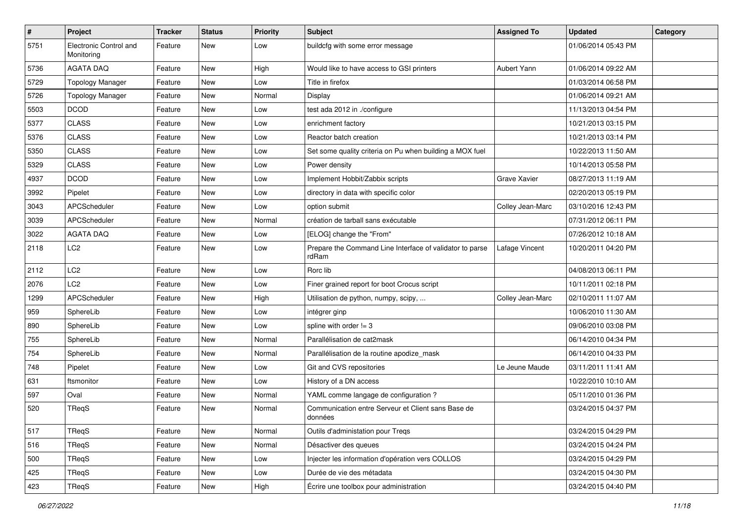| $\sharp$ | Project                              | <b>Tracker</b> | <b>Status</b> | <b>Priority</b> | Subject                                                           | <b>Assigned To</b>  | <b>Updated</b>      | Category |
|----------|--------------------------------------|----------------|---------------|-----------------|-------------------------------------------------------------------|---------------------|---------------------|----------|
| 5751     | Electronic Control and<br>Monitoring | Feature        | New           | Low             | buildcfg with some error message                                  |                     | 01/06/2014 05:43 PM |          |
| 5736     | <b>AGATA DAQ</b>                     | Feature        | <b>New</b>    | High            | Would like to have access to GSI printers                         | Aubert Yann         | 01/06/2014 09:22 AM |          |
| 5729     | <b>Topology Manager</b>              | Feature        | New           | Low             | Title in firefox                                                  |                     | 01/03/2014 06:58 PM |          |
| 5726     | <b>Topology Manager</b>              | Feature        | <b>New</b>    | Normal          | Display                                                           |                     | 01/06/2014 09:21 AM |          |
| 5503     | <b>DCOD</b>                          | Feature        | <b>New</b>    | Low             | test ada 2012 in ./configure                                      |                     | 11/13/2013 04:54 PM |          |
| 5377     | <b>CLASS</b>                         | Feature        | <b>New</b>    | Low             | enrichment factory                                                |                     | 10/21/2013 03:15 PM |          |
| 5376     | <b>CLASS</b>                         | Feature        | New           | Low             | Reactor batch creation                                            |                     | 10/21/2013 03:14 PM |          |
| 5350     | <b>CLASS</b>                         | Feature        | New           | Low             | Set some quality criteria on Pu when building a MOX fuel          |                     | 10/22/2013 11:50 AM |          |
| 5329     | <b>CLASS</b>                         | Feature        | <b>New</b>    | Low             | Power density                                                     |                     | 10/14/2013 05:58 PM |          |
| 4937     | <b>DCOD</b>                          | Feature        | <b>New</b>    | Low             | Implement Hobbit/Zabbix scripts                                   | <b>Grave Xavier</b> | 08/27/2013 11:19 AM |          |
| 3992     | Pipelet                              | Feature        | <b>New</b>    | Low             | directory in data with specific color                             |                     | 02/20/2013 05:19 PM |          |
| 3043     | APCScheduler                         | Feature        | New           | Low             | option submit                                                     | Colley Jean-Marc    | 03/10/2016 12:43 PM |          |
| 3039     | APCScheduler                         | Feature        | <b>New</b>    | Normal          | création de tarball sans exécutable                               |                     | 07/31/2012 06:11 PM |          |
| 3022     | <b>AGATA DAQ</b>                     | Feature        | <b>New</b>    | Low             | [ELOG] change the "From"                                          |                     | 07/26/2012 10:18 AM |          |
| 2118     | LC2                                  | Feature        | New           | Low             | Prepare the Command Line Interface of validator to parse<br>rdRam | Lafage Vincent      | 10/20/2011 04:20 PM |          |
| 2112     | LC <sub>2</sub>                      | Feature        | <b>New</b>    | Low             | Rorc lib                                                          |                     | 04/08/2013 06:11 PM |          |
| 2076     | LC <sub>2</sub>                      | Feature        | <b>New</b>    | Low             | Finer grained report for boot Crocus script                       |                     | 10/11/2011 02:18 PM |          |
| 1299     | APCScheduler                         | Feature        | <b>New</b>    | High            | Utilisation de python, numpy, scipy,                              | Colley Jean-Marc    | 02/10/2011 11:07 AM |          |
| 959      | SphereLib                            | Feature        | New           | Low             | intégrer ginp                                                     |                     | 10/06/2010 11:30 AM |          |
| 890      | SphereLib                            | Feature        | New           | Low             | spline with order $!= 3$                                          |                     | 09/06/2010 03:08 PM |          |
| 755      | SphereLib                            | Feature        | <b>New</b>    | Normal          | Parallélisation de cat2mask                                       |                     | 06/14/2010 04:34 PM |          |
| 754      | SphereLib                            | Feature        | New           | Normal          | Parallélisation de la routine apodize mask                        |                     | 06/14/2010 04:33 PM |          |
| 748      | Pipelet                              | Feature        | New           | Low             | Git and CVS repositories                                          | Le Jeune Maude      | 03/11/2011 11:41 AM |          |
| 631      | ftsmonitor                           | Feature        | New           | Low             | History of a DN access                                            |                     | 10/22/2010 10:10 AM |          |
| 597      | Oval                                 | Feature        | New           | Normal          | YAML comme langage de configuration ?                             |                     | 05/11/2010 01:36 PM |          |
| 520      | TReqS                                | Feature        | New           | Normal          | Communication entre Serveur et Client sans Base de<br>données     |                     | 03/24/2015 04:37 PM |          |
| 517      | TReqS                                | Feature        | New           | Normal          | Outils d'administation pour Treqs                                 |                     | 03/24/2015 04:29 PM |          |
| 516      | TReqS                                | Feature        | New           | Normal          | Désactiver des queues                                             |                     | 03/24/2015 04:24 PM |          |
| 500      | TReqS                                | Feature        | New           | Low             | Injecter les information d'opération vers COLLOS                  |                     | 03/24/2015 04:29 PM |          |
| 425      | TReqS                                | Feature        | New           | Low             | Durée de vie des métadata                                         |                     | 03/24/2015 04:30 PM |          |
| 423      | TReqS                                | Feature        | New           | High            | Écrire une toolbox pour administration                            |                     | 03/24/2015 04:40 PM |          |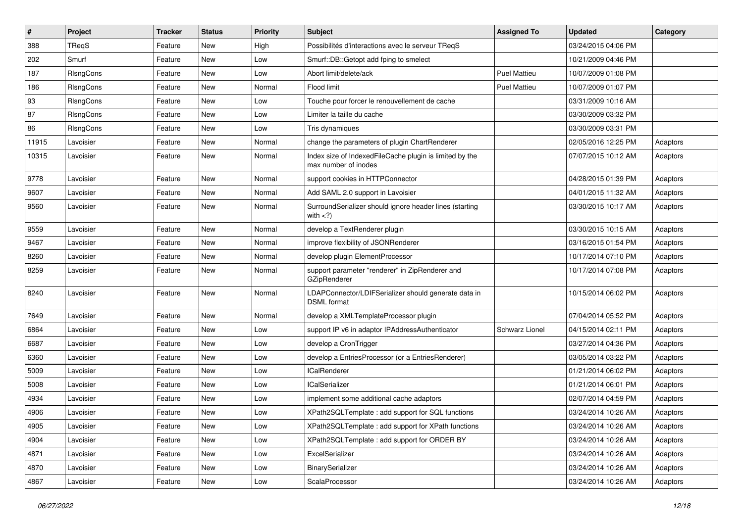| $\vert$ # | Project   | <b>Tracker</b> | <b>Status</b> | <b>Priority</b> | Subject                                                                         | <b>Assigned To</b>  | <b>Updated</b>      | Category |
|-----------|-----------|----------------|---------------|-----------------|---------------------------------------------------------------------------------|---------------------|---------------------|----------|
| 388       | TReqS     | Feature        | New           | High            | Possibilités d'interactions avec le serveur TReqS                               |                     | 03/24/2015 04:06 PM |          |
| 202       | Smurf     | Feature        | New           | Low             | Smurf::DB::Getopt add fping to smelect                                          |                     | 10/21/2009 04:46 PM |          |
| 187       | RIsngCons | Feature        | New           | Low             | Abort limit/delete/ack                                                          | <b>Puel Mattieu</b> | 10/07/2009 01:08 PM |          |
| 186       | RIsngCons | Feature        | New           | Normal          | Flood limit                                                                     | Puel Mattieu        | 10/07/2009 01:07 PM |          |
| 93        | RIsngCons | Feature        | New           | Low             | Touche pour forcer le renouvellement de cache                                   |                     | 03/31/2009 10:16 AM |          |
| 87        | RIsngCons | Feature        | New           | Low             | Limiter la taille du cache                                                      |                     | 03/30/2009 03:32 PM |          |
| 86        | RIsngCons | Feature        | <b>New</b>    | Low             | Tris dynamiques                                                                 |                     | 03/30/2009 03:31 PM |          |
| 11915     | Lavoisier | Feature        | New           | Normal          | change the parameters of plugin ChartRenderer                                   |                     | 02/05/2016 12:25 PM | Adaptors |
| 10315     | Lavoisier | Feature        | New           | Normal          | Index size of IndexedFileCache plugin is limited by the<br>max number of inodes |                     | 07/07/2015 10:12 AM | Adaptors |
| 9778      | Lavoisier | Feature        | New           | Normal          | support cookies in HTTPConnector                                                |                     | 04/28/2015 01:39 PM | Adaptors |
| 9607      | Lavoisier | Feature        | New           | Normal          | Add SAML 2.0 support in Lavoisier                                               |                     | 04/01/2015 11:32 AM | Adaptors |
| 9560      | Lavoisier | Feature        | New           | Normal          | SurroundSerializer should ignore header lines (starting<br>with $<$ ?)          |                     | 03/30/2015 10:17 AM | Adaptors |
| 9559      | Lavoisier | Feature        | <b>New</b>    | Normal          | develop a TextRenderer plugin                                                   |                     | 03/30/2015 10:15 AM | Adaptors |
| 9467      | Lavoisier | Feature        | New           | Normal          | improve flexibility of JSONRenderer                                             |                     | 03/16/2015 01:54 PM | Adaptors |
| 8260      | Lavoisier | Feature        | New           | Normal          | develop plugin ElementProcessor                                                 |                     | 10/17/2014 07:10 PM | Adaptors |
| 8259      | Lavoisier | Feature        | New           | Normal          | support parameter "renderer" in ZipRenderer and<br>GZipRenderer                 |                     | 10/17/2014 07:08 PM | Adaptors |
| 8240      | Lavoisier | Feature        | New           | Normal          | LDAPConnector/LDIFSerializer should generate data in<br><b>DSML</b> format      |                     | 10/15/2014 06:02 PM | Adaptors |
| 7649      | Lavoisier | Feature        | New           | Normal          | develop a XMLTemplateProcessor plugin                                           |                     | 07/04/2014 05:52 PM | Adaptors |
| 6864      | Lavoisier | Feature        | <b>New</b>    | Low             | support IP v6 in adaptor IPAddressAuthenticator                                 | Schwarz Lionel      | 04/15/2014 02:11 PM | Adaptors |
| 6687      | Lavoisier | Feature        | New           | Low             | develop a CronTrigger                                                           |                     | 03/27/2014 04:36 PM | Adaptors |
| 6360      | Lavoisier | Feature        | New           | Low             | develop a EntriesProcessor (or a EntriesRenderer)                               |                     | 03/05/2014 03:22 PM | Adaptors |
| 5009      | Lavoisier | Feature        | New           | Low             | <b>ICalRenderer</b>                                                             |                     | 01/21/2014 06:02 PM | Adaptors |
| 5008      | Lavoisier | Feature        | New           | Low             | <b>ICalSerializer</b>                                                           |                     | 01/21/2014 06:01 PM | Adaptors |
| 4934      | Lavoisier | Feature        | New           | Low             | implement some additional cache adaptors                                        |                     | 02/07/2014 04:59 PM | Adaptors |
| 4906      | Lavoisier | Feature        | New           | Low             | XPath2SQLTemplate: add support for SQL functions                                |                     | 03/24/2014 10:26 AM | Adaptors |
| 4905      | Lavoisier | Feature        | New           | Low             | XPath2SQLTemplate : add support for XPath functions                             |                     | 03/24/2014 10:26 AM | Adaptors |
| 4904      | Lavoisier | Feature        | New           | Low             | XPath2SQLTemplate : add support for ORDER BY                                    |                     | 03/24/2014 10:26 AM | Adaptors |
| 4871      | Lavoisier | Feature        | New           | Low             | ExcelSerializer                                                                 |                     | 03/24/2014 10:26 AM | Adaptors |
| 4870      | Lavoisier | Feature        | New           | Low             | BinarySerializer                                                                |                     | 03/24/2014 10:26 AM | Adaptors |
| 4867      | Lavoisier | Feature        | New           | Low             | ScalaProcessor                                                                  |                     | 03/24/2014 10:26 AM | Adaptors |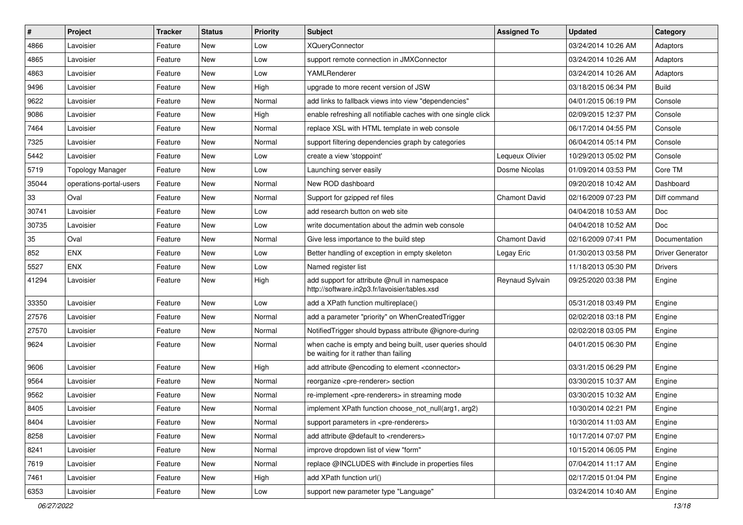| $\sharp$ | Project                 | <b>Tracker</b> | <b>Status</b> | <b>Priority</b> | <b>Subject</b>                                                                                    | <b>Assigned To</b>   | <b>Updated</b>      | Category                |
|----------|-------------------------|----------------|---------------|-----------------|---------------------------------------------------------------------------------------------------|----------------------|---------------------|-------------------------|
| 4866     | Lavoisier               | Feature        | New           | Low             | <b>XQueryConnector</b>                                                                            |                      | 03/24/2014 10:26 AM | Adaptors                |
| 4865     | Lavoisier               | Feature        | New           | Low             | support remote connection in JMXConnector                                                         |                      | 03/24/2014 10:26 AM | Adaptors                |
| 4863     | Lavoisier               | Feature        | New           | Low             | YAMLRenderer                                                                                      |                      | 03/24/2014 10:26 AM | Adaptors                |
| 9496     | Lavoisier               | Feature        | New           | High            | upgrade to more recent version of JSW                                                             |                      | 03/18/2015 06:34 PM | <b>Build</b>            |
| 9622     | Lavoisier               | Feature        | New           | Normal          | add links to fallback views into view "dependencies"                                              |                      | 04/01/2015 06:19 PM | Console                 |
| 9086     | Lavoisier               | Feature        | New           | High            | enable refreshing all notifiable caches with one single click                                     |                      | 02/09/2015 12:37 PM | Console                 |
| 7464     | Lavoisier               | Feature        | New           | Normal          | replace XSL with HTML template in web console                                                     |                      | 06/17/2014 04:55 PM | Console                 |
| 7325     | Lavoisier               | Feature        | New           | Normal          | support filtering dependencies graph by categories                                                |                      | 06/04/2014 05:14 PM | Console                 |
| 5442     | Lavoisier               | Feature        | New           | Low             | create a view 'stoppoint'                                                                         | Lequeux Olivier      | 10/29/2013 05:02 PM | Console                 |
| 5719     | <b>Topology Manager</b> | Feature        | New           | Low             | Launching server easily                                                                           | Dosme Nicolas        | 01/09/2014 03:53 PM | Core TM                 |
| 35044    | operations-portal-users | Feature        | New           | Normal          | New ROD dashboard                                                                                 |                      | 09/20/2018 10:42 AM | Dashboard               |
| 33       | Oval                    | Feature        | New           | Normal          | Support for gzipped ref files                                                                     | <b>Chamont David</b> | 02/16/2009 07:23 PM | Diff command            |
| 30741    | Lavoisier               | Feature        | New           | Low             | add research button on web site                                                                   |                      | 04/04/2018 10:53 AM | Doc                     |
| 30735    | Lavoisier               | Feature        | New           | Low             | write documentation about the admin web console                                                   |                      | 04/04/2018 10:52 AM | Doc                     |
| 35       | Oval                    | Feature        | New           | Normal          | Give less importance to the build step                                                            | <b>Chamont David</b> | 02/16/2009 07:41 PM | Documentation           |
| 852      | ENX                     | Feature        | New           | Low             | Better handling of exception in empty skeleton                                                    | Legay Eric           | 01/30/2013 03:58 PM | <b>Driver Generator</b> |
| 5527     | <b>ENX</b>              | Feature        | New           | Low             | Named register list                                                                               |                      | 11/18/2013 05:30 PM | <b>Drivers</b>          |
| 41294    | Lavoisier               | Feature        | New           | High            | add support for attribute @null in namespace<br>http://software.in2p3.fr/lavoisier/tables.xsd     | Reynaud Sylvain      | 09/25/2020 03:38 PM | Engine                  |
| 33350    | Lavoisier               | Feature        | New           | Low             | add a XPath function multireplace()                                                               |                      | 05/31/2018 03:49 PM | Engine                  |
| 27576    | Lavoisier               | Feature        | New           | Normal          | add a parameter "priority" on WhenCreatedTrigger                                                  |                      | 02/02/2018 03:18 PM | Engine                  |
| 27570    | Lavoisier               | Feature        | New           | Normal          | NotifiedTrigger should bypass attribute @ignore-during                                            |                      | 02/02/2018 03:05 PM | Engine                  |
| 9624     | Lavoisier               | Feature        | New           | Normal          | when cache is empty and being built, user queries should<br>be waiting for it rather than failing |                      | 04/01/2015 06:30 PM | Engine                  |
| 9606     | Lavoisier               | Feature        | New           | High            | add attribute @encoding to element <connector></connector>                                        |                      | 03/31/2015 06:29 PM | Engine                  |
| 9564     | Lavoisier               | Feature        | New           | Normal          | reorganize <pre-renderer> section</pre-renderer>                                                  |                      | 03/30/2015 10:37 AM | Engine                  |
| 9562     | Lavoisier               | Feature        | New           | Normal          | re-implement <pre-renderers> in streaming mode</pre-renderers>                                    |                      | 03/30/2015 10:32 AM | Engine                  |
| 8405     | Lavoisier               | Feature        | New           | Normal          | implement XPath function choose not null(arg1, arg2)                                              |                      | 10/30/2014 02:21 PM | Engine                  |
| 8404     | Lavoisier               | Feature        | New           | Normal          | support parameters in <pre-renderers></pre-renderers>                                             |                      | 10/30/2014 11:03 AM | Engine                  |
| 8258     | Lavoisier               | Feature        | New           | Normal          | add attribute @default to <renderers></renderers>                                                 |                      | 10/17/2014 07:07 PM | Engine                  |
| 8241     | Lavoisier               | Feature        | New           | Normal          | improve dropdown list of view "form"                                                              |                      | 10/15/2014 06:05 PM | Engine                  |
| 7619     | Lavoisier               | Feature        | New           | Normal          | replace @INCLUDES with #include in properties files                                               |                      | 07/04/2014 11:17 AM | Engine                  |
| 7461     | Lavoisier               | Feature        | New           | High            | add XPath function url()                                                                          |                      | 02/17/2015 01:04 PM | Engine                  |
| 6353     | Lavoisier               | Feature        | New           | Low             | support new parameter type "Language"                                                             |                      | 03/24/2014 10:40 AM | Engine                  |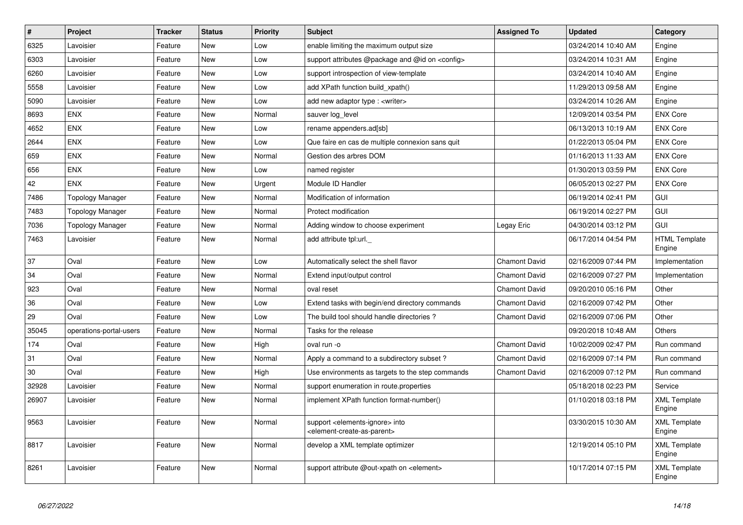| $\vert$ # | <b>Project</b>          | <b>Tracker</b> | <b>Status</b> | <b>Priority</b> | <b>Subject</b>                                                                                             | <b>Assigned To</b>   | <b>Updated</b>      | Category                       |
|-----------|-------------------------|----------------|---------------|-----------------|------------------------------------------------------------------------------------------------------------|----------------------|---------------------|--------------------------------|
| 6325      | Lavoisier               | Feature        | New           | Low             | enable limiting the maximum output size                                                                    |                      | 03/24/2014 10:40 AM | Engine                         |
| 6303      | Lavoisier               | Feature        | New           | Low             | support attributes @package and @id on <config></config>                                                   |                      | 03/24/2014 10:31 AM | Engine                         |
| 6260      | Lavoisier               | Feature        | New           | Low             | support introspection of view-template                                                                     |                      | 03/24/2014 10:40 AM | Engine                         |
| 5558      | Lavoisier               | Feature        | <b>New</b>    | Low             | add XPath function build_xpath()                                                                           |                      | 11/29/2013 09:58 AM | Engine                         |
| 5090      | Lavoisier               | Feature        | New           | Low             | add new adaptor type : <writer></writer>                                                                   |                      | 03/24/2014 10:26 AM | Engine                         |
| 8693      | <b>ENX</b>              | Feature        | New           | Normal          | sauver log level                                                                                           |                      | 12/09/2014 03:54 PM | <b>ENX Core</b>                |
| 4652      | <b>ENX</b>              | Feature        | New           | Low             | rename appenders.ad[sb]                                                                                    |                      | 06/13/2013 10:19 AM | <b>ENX Core</b>                |
| 2644      | <b>ENX</b>              | Feature        | <b>New</b>    | Low             | Que faire en cas de multiple connexion sans quit                                                           |                      | 01/22/2013 05:04 PM | <b>ENX Core</b>                |
| 659       | <b>ENX</b>              | Feature        | <b>New</b>    | Normal          | Gestion des arbres DOM                                                                                     |                      | 01/16/2013 11:33 AM | <b>ENX Core</b>                |
| 656       | <b>ENX</b>              | Feature        | New           | Low             | named register                                                                                             |                      | 01/30/2013 03:59 PM | <b>ENX Core</b>                |
| 42        | <b>ENX</b>              | Feature        | New           | Urgent          | Module ID Handler                                                                                          |                      | 06/05/2013 02:27 PM | <b>ENX Core</b>                |
| 7486      | <b>Topology Manager</b> | Feature        | New           | Normal          | Modification of information                                                                                |                      | 06/19/2014 02:41 PM | <b>GUI</b>                     |
| 7483      | <b>Topology Manager</b> | Feature        | <b>New</b>    | Normal          | Protect modification                                                                                       |                      | 06/19/2014 02:27 PM | GUI                            |
| 7036      | <b>Topology Manager</b> | Feature        | New           | Normal          | Adding window to choose experiment                                                                         | Legay Eric           | 04/30/2014 03:12 PM | GUI                            |
| 7463      | Lavoisier               | Feature        | New           | Normal          | add attribute tpl:url.                                                                                     |                      | 06/17/2014 04:54 PM | <b>HTML Template</b><br>Engine |
| 37        | Oval                    | Feature        | New           | Low             | Automatically select the shell flavor                                                                      | <b>Chamont David</b> | 02/16/2009 07:44 PM | Implementation                 |
| 34        | Oval                    | Feature        | New           | Normal          | Extend input/output control                                                                                | <b>Chamont David</b> | 02/16/2009 07:27 PM | Implementation                 |
| 923       | Oval                    | Feature        | New           | Normal          | oval reset                                                                                                 | <b>Chamont David</b> | 09/20/2010 05:16 PM | Other                          |
| 36        | Oval                    | Feature        | New           | Low             | Extend tasks with begin/end directory commands                                                             | <b>Chamont David</b> | 02/16/2009 07:42 PM | Other                          |
| 29        | Oval                    | Feature        | New           | Low             | The build tool should handle directories?                                                                  | <b>Chamont David</b> | 02/16/2009 07:06 PM | Other                          |
| 35045     | operations-portal-users | Feature        | New           | Normal          | Tasks for the release                                                                                      |                      | 09/20/2018 10:48 AM | Others                         |
| 174       | Oval                    | Feature        | New           | High            | oval run -o                                                                                                | <b>Chamont David</b> | 10/02/2009 02:47 PM | Run command                    |
| 31        | Oval                    | Feature        | New           | Normal          | Apply a command to a subdirectory subset?                                                                  | <b>Chamont David</b> | 02/16/2009 07:14 PM | Run command                    |
| 30        | Oval                    | Feature        | New           | High            | Use environments as targets to the step commands                                                           | <b>Chamont David</b> | 02/16/2009 07:12 PM | Run command                    |
| 32928     | Lavoisier               | Feature        | New           | Normal          | support enumeration in route properties                                                                    |                      | 05/18/2018 02:23 PM | Service                        |
| 26907     | Lavoisier               | Feature        | New           | Normal          | implement XPath function format-number()                                                                   |                      | 01/10/2018 03:18 PM | <b>XML Template</b><br>Engine  |
| 9563      | Lavoisier               | Feature        | <b>New</b>    | Normal          | support <elements-ignore> into<br/><element-create-as-parent></element-create-as-parent></elements-ignore> |                      | 03/30/2015 10:30 AM | <b>XML Template</b><br>Engine  |
| 8817      | Lavoisier               | Feature        | New           | Normal          | develop a XML template optimizer                                                                           |                      | 12/19/2014 05:10 PM | <b>XML Template</b><br>Engine  |
| 8261      | Lavoisier               | Feature        | New           | Normal          | support attribute @out-xpath on <element></element>                                                        |                      | 10/17/2014 07:15 PM | <b>XML Template</b><br>Engine  |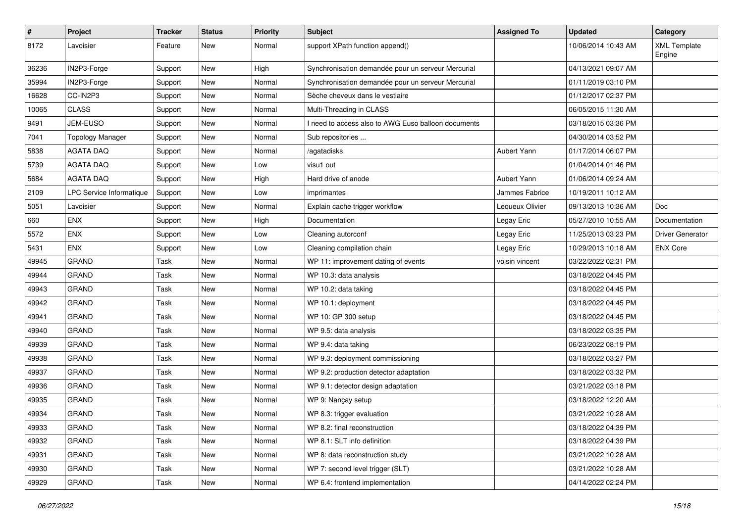| $\pmb{\#}$ | Project                  | <b>Tracker</b> | <b>Status</b> | <b>Priority</b> | <b>Subject</b>                                     | <b>Assigned To</b> | <b>Updated</b>      | Category                      |
|------------|--------------------------|----------------|---------------|-----------------|----------------------------------------------------|--------------------|---------------------|-------------------------------|
| 8172       | Lavoisier                | Feature        | New           | Normal          | support XPath function append()                    |                    | 10/06/2014 10:43 AM | <b>XML Template</b><br>Engine |
| 36236      | IN2P3-Forge              | Support        | New           | High            | Synchronisation demandée pour un serveur Mercurial |                    | 04/13/2021 09:07 AM |                               |
| 35994      | IN2P3-Forge              | Support        | New           | Normal          | Synchronisation demandée pour un serveur Mercurial |                    | 01/11/2019 03:10 PM |                               |
| 16628      | CC-IN2P3                 | Support        | New           | Normal          | Sèche cheveux dans le vestiaire                    |                    | 01/12/2017 02:37 PM |                               |
| 10065      | <b>CLASS</b>             | Support        | New           | Normal          | Multi-Threading in CLASS                           |                    | 06/05/2015 11:30 AM |                               |
| 9491       | JEM-EUSO                 | Support        | New           | Normal          | need to access also to AWG Euso balloon documents  |                    | 03/18/2015 03:36 PM |                               |
| 7041       | <b>Topology Manager</b>  | Support        | New           | Normal          | Sub repositories                                   |                    | 04/30/2014 03:52 PM |                               |
| 5838       | <b>AGATA DAQ</b>         | Support        | New           | Normal          | /agatadisks                                        | Aubert Yann        | 01/17/2014 06:07 PM |                               |
| 5739       | <b>AGATA DAQ</b>         | Support        | New           | Low             | visu1 out                                          |                    | 01/04/2014 01:46 PM |                               |
| 5684       | <b>AGATA DAQ</b>         | Support        | New           | High            | Hard drive of anode                                | Aubert Yann        | 01/06/2014 09:24 AM |                               |
| 2109       | LPC Service Informatique | Support        | New           | Low             | imprimantes                                        | Jammes Fabrice     | 10/19/2011 10:12 AM |                               |
| 5051       | Lavoisier                | Support        | New           | Normal          | Explain cache trigger workflow                     | Lequeux Olivier    | 09/13/2013 10:36 AM | <b>Doc</b>                    |
| 660        | ENX                      | Support        | New           | High            | Documentation                                      | Legay Eric         | 05/27/2010 10:55 AM | Documentation                 |
| 5572       | ENX                      | Support        | New           | Low             | Cleaning autorconf                                 | Legay Eric         | 11/25/2013 03:23 PM | <b>Driver Generator</b>       |
| 5431       | <b>ENX</b>               | Support        | New           | Low             | Cleaning compilation chain                         | Legay Eric         | 10/29/2013 10:18 AM | <b>ENX Core</b>               |
| 49945      | <b>GRAND</b>             | Task           | New           | Normal          | WP 11: improvement dating of events                | voisin vincent     | 03/22/2022 02:31 PM |                               |
| 49944      | <b>GRAND</b>             | Task           | New           | Normal          | WP 10.3: data analysis                             |                    | 03/18/2022 04:45 PM |                               |
| 49943      | <b>GRAND</b>             | Task           | New           | Normal          | WP 10.2: data taking                               |                    | 03/18/2022 04:45 PM |                               |
| 49942      | <b>GRAND</b>             | Task           | New           | Normal          | WP 10.1: deployment                                |                    | 03/18/2022 04:45 PM |                               |
| 49941      | <b>GRAND</b>             | Task           | New           | Normal          | WP 10: GP 300 setup                                |                    | 03/18/2022 04:45 PM |                               |
| 49940      | <b>GRAND</b>             | Task           | New           | Normal          | WP 9.5: data analysis                              |                    | 03/18/2022 03:35 PM |                               |
| 49939      | <b>GRAND</b>             | Task           | New           | Normal          | WP 9.4: data taking                                |                    | 06/23/2022 08:19 PM |                               |
| 49938      | <b>GRAND</b>             | Task           | New           | Normal          | WP 9.3: deployment commissioning                   |                    | 03/18/2022 03:27 PM |                               |
| 49937      | <b>GRAND</b>             | Task           | <b>New</b>    | Normal          | WP 9.2: production detector adaptation             |                    | 03/18/2022 03:32 PM |                               |
| 49936      | <b>GRAND</b>             | Task           | New           | Normal          | WP 9.1: detector design adaptation                 |                    | 03/21/2022 03:18 PM |                               |
| 49935      | <b>GRAND</b>             | Task           | New           | Normal          | WP 9: Nançay setup                                 |                    | 03/18/2022 12:20 AM |                               |
| 49934      | <b>GRAND</b>             | Task           | <b>New</b>    | Normal          | WP 8.3: trigger evaluation                         |                    | 03/21/2022 10:28 AM |                               |
| 49933      | <b>GRAND</b>             | Task           | New           | Normal          | WP 8.2: final reconstruction                       |                    | 03/18/2022 04:39 PM |                               |
| 49932      | <b>GRAND</b>             | Task           | New           | Normal          | WP 8.1: SLT info definition                        |                    | 03/18/2022 04:39 PM |                               |
| 49931      | GRAND                    | Task           | New           | Normal          | WP 8: data reconstruction study                    |                    | 03/21/2022 10:28 AM |                               |
| 49930      | <b>GRAND</b>             | Task           | New           | Normal          | WP 7: second level trigger (SLT)                   |                    | 03/21/2022 10:28 AM |                               |
| 49929      | GRAND                    | Task           | New           | Normal          | WP 6.4: frontend implementation                    |                    | 04/14/2022 02:24 PM |                               |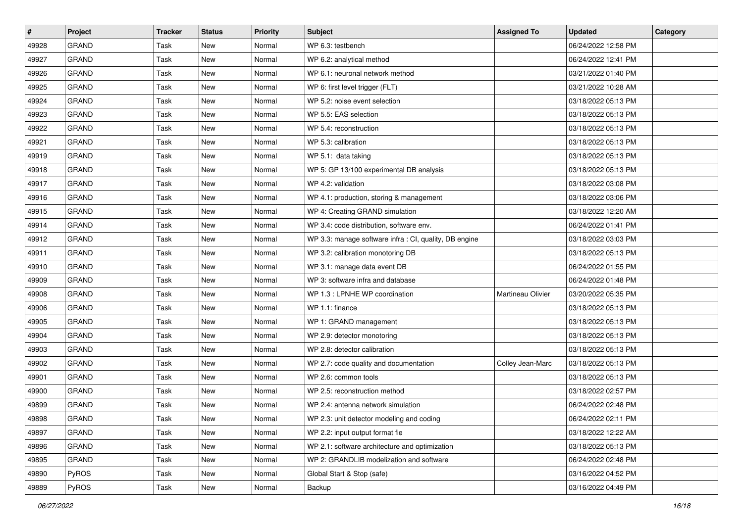| $\vert$ # | Project      | <b>Tracker</b> | <b>Status</b> | <b>Priority</b> | <b>Subject</b>                                         | <b>Assigned To</b> | <b>Updated</b>      | Category |
|-----------|--------------|----------------|---------------|-----------------|--------------------------------------------------------|--------------------|---------------------|----------|
| 49928     | <b>GRAND</b> | Task           | <b>New</b>    | Normal          | WP 6.3: testbench                                      |                    | 06/24/2022 12:58 PM |          |
| 49927     | <b>GRAND</b> | Task           | <b>New</b>    | Normal          | WP 6.2: analytical method                              |                    | 06/24/2022 12:41 PM |          |
| 49926     | <b>GRAND</b> | Task           | New           | Normal          | WP 6.1: neuronal network method                        |                    | 03/21/2022 01:40 PM |          |
| 49925     | <b>GRAND</b> | Task           | <b>New</b>    | Normal          | WP 6: first level trigger (FLT)                        |                    | 03/21/2022 10:28 AM |          |
| 49924     | <b>GRAND</b> | Task           | <b>New</b>    | Normal          | WP 5.2: noise event selection                          |                    | 03/18/2022 05:13 PM |          |
| 49923     | <b>GRAND</b> | Task           | <b>New</b>    | Normal          | WP 5.5: EAS selection                                  |                    | 03/18/2022 05:13 PM |          |
| 49922     | <b>GRAND</b> | Task           | <b>New</b>    | Normal          | WP 5.4: reconstruction                                 |                    | 03/18/2022 05:13 PM |          |
| 49921     | <b>GRAND</b> | Task           | New           | Normal          | WP 5.3: calibration                                    |                    | 03/18/2022 05:13 PM |          |
| 49919     | <b>GRAND</b> | Task           | New           | Normal          | WP 5.1: data taking                                    |                    | 03/18/2022 05:13 PM |          |
| 49918     | <b>GRAND</b> | Task           | New           | Normal          | WP 5: GP 13/100 experimental DB analysis               |                    | 03/18/2022 05:13 PM |          |
| 49917     | <b>GRAND</b> | Task           | New           | Normal          | WP 4.2: validation                                     |                    | 03/18/2022 03:08 PM |          |
| 49916     | <b>GRAND</b> | Task           | <b>New</b>    | Normal          | WP 4.1: production, storing & management               |                    | 03/18/2022 03:06 PM |          |
| 49915     | <b>GRAND</b> | Task           | New           | Normal          | WP 4: Creating GRAND simulation                        |                    | 03/18/2022 12:20 AM |          |
| 49914     | <b>GRAND</b> | Task           | <b>New</b>    | Normal          | WP 3.4: code distribution, software env.               |                    | 06/24/2022 01:41 PM |          |
| 49912     | <b>GRAND</b> | Task           | <b>New</b>    | Normal          | WP 3.3: manage software infra : CI, quality, DB engine |                    | 03/18/2022 03:03 PM |          |
| 49911     | <b>GRAND</b> | Task           | New           | Normal          | WP 3.2: calibration monotoring DB                      |                    | 03/18/2022 05:13 PM |          |
| 49910     | <b>GRAND</b> | Task           | <b>New</b>    | Normal          | WP 3.1: manage data event DB                           |                    | 06/24/2022 01:55 PM |          |
| 49909     | GRAND        | Task           | New           | Normal          | WP 3: software infra and database                      |                    | 06/24/2022 01:48 PM |          |
| 49908     | <b>GRAND</b> | Task           | <b>New</b>    | Normal          | WP 1.3 : LPNHE WP coordination                         | Martineau Olivier  | 03/20/2022 05:35 PM |          |
| 49906     | <b>GRAND</b> | Task           | <b>New</b>    | Normal          | WP 1.1: finance                                        |                    | 03/18/2022 05:13 PM |          |
| 49905     | <b>GRAND</b> | Task           | New           | Normal          | WP 1: GRAND management                                 |                    | 03/18/2022 05:13 PM |          |
| 49904     | <b>GRAND</b> | Task           | New           | Normal          | WP 2.9: detector monotoring                            |                    | 03/18/2022 05:13 PM |          |
| 49903     | GRAND        | Task           | New           | Normal          | WP 2.8: detector calibration                           |                    | 03/18/2022 05:13 PM |          |
| 49902     | <b>GRAND</b> | Task           | <b>New</b>    | Normal          | WP 2.7: code quality and documentation                 | Colley Jean-Marc   | 03/18/2022 05:13 PM |          |
| 49901     | <b>GRAND</b> | Task           | <b>New</b>    | Normal          | WP 2.6: common tools                                   |                    | 03/18/2022 05:13 PM |          |
| 49900     | <b>GRAND</b> | Task           | New           | Normal          | WP 2.5: reconstruction method                          |                    | 03/18/2022 02:57 PM |          |
| 49899     | <b>GRAND</b> | Task           | <b>New</b>    | Normal          | WP 2.4: antenna network simulation                     |                    | 06/24/2022 02:48 PM |          |
| 49898     | GRAND        | Task           | New           | Normal          | WP 2.3: unit detector modeling and coding              |                    | 06/24/2022 02:11 PM |          |
| 49897     | <b>GRAND</b> | Task           | New           | Normal          | WP 2.2: input output format fie                        |                    | 03/18/2022 12:22 AM |          |
| 49896     | <b>GRAND</b> | Task           | New           | Normal          | WP 2.1: software architecture and optimization         |                    | 03/18/2022 05:13 PM |          |
| 49895     | GRAND        | Task           | New           | Normal          | WP 2: GRANDLIB modelization and software               |                    | 06/24/2022 02:48 PM |          |
| 49890     | PyROS        | Task           | New           | Normal          | Global Start & Stop (safe)                             |                    | 03/16/2022 04:52 PM |          |
| 49889     | PyROS        | Task           | New           | Normal          | Backup                                                 |                    | 03/16/2022 04:49 PM |          |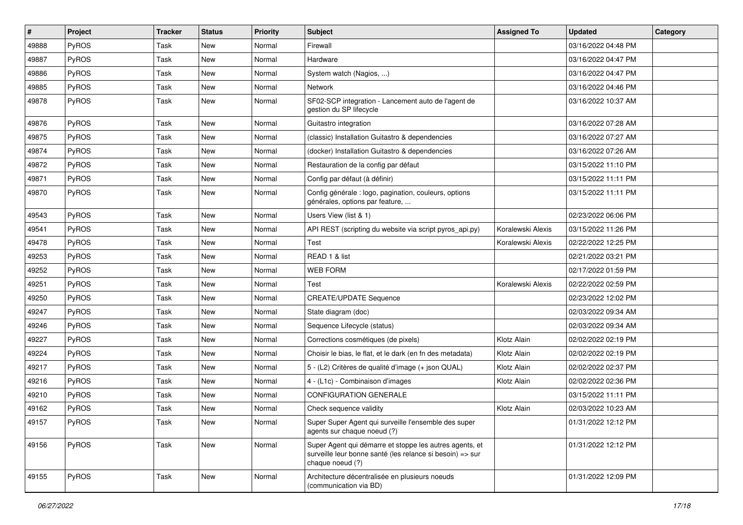| #     | Project      | <b>Tracker</b> | <b>Status</b> | <b>Priority</b> | Subject                                                                                                                                  | <b>Assigned To</b> | <b>Updated</b>      | Category |
|-------|--------------|----------------|---------------|-----------------|------------------------------------------------------------------------------------------------------------------------------------------|--------------------|---------------------|----------|
| 49888 | PyROS        | Task           | New           | Normal          | Firewall                                                                                                                                 |                    | 03/16/2022 04:48 PM |          |
| 49887 | PyROS        | Task           | <b>New</b>    | Normal          | Hardware                                                                                                                                 |                    | 03/16/2022 04:47 PM |          |
| 49886 | PyROS        | Task           | <b>New</b>    | Normal          | System watch (Nagios, )                                                                                                                  |                    | 03/16/2022 04:47 PM |          |
| 49885 | PyROS        | Task           | <b>New</b>    | Normal          | <b>Network</b>                                                                                                                           |                    | 03/16/2022 04:46 PM |          |
| 49878 | PyROS        | Task           | <b>New</b>    | Normal          | SF02-SCP integration - Lancement auto de l'agent de<br>gestion du SP lifecycle                                                           |                    | 03/16/2022 10:37 AM |          |
| 49876 | PyROS        | Task           | <b>New</b>    | Normal          | Guitastro integration                                                                                                                    |                    | 03/16/2022 07:28 AM |          |
| 49875 | PyROS        | Task           | New           | Normal          | (classic) Installation Guitastro & dependencies                                                                                          |                    | 03/16/2022 07:27 AM |          |
| 49874 | PyROS        | Task           | <b>New</b>    | Normal          | (docker) Installation Guitastro & dependencies                                                                                           |                    | 03/16/2022 07:26 AM |          |
| 49872 | PyROS        | Task           | <b>New</b>    | Normal          | Restauration de la config par défaut                                                                                                     |                    | 03/15/2022 11:10 PM |          |
| 49871 | PyROS        | Task           | <b>New</b>    | Normal          | Config par défaut (à définir)                                                                                                            |                    | 03/15/2022 11:11 PM |          |
| 49870 | PyROS        | Task           | New           | Normal          | Config générale : logo, pagination, couleurs, options<br>générales, options par feature,                                                 |                    | 03/15/2022 11:11 PM |          |
| 49543 | PyROS        | Task           | <b>New</b>    | Normal          | Users View (list & 1)                                                                                                                    |                    | 02/23/2022 06:06 PM |          |
| 49541 | PyROS        | Task           | <b>New</b>    | Normal          | API REST (scripting du website via script pyros_api.py)                                                                                  | Koralewski Alexis  | 03/15/2022 11:26 PM |          |
| 49478 | PyROS        | Task           | <b>New</b>    | Normal          | Test                                                                                                                                     | Koralewski Alexis  | 02/22/2022 12:25 PM |          |
| 49253 | PyROS        | Task           | <b>New</b>    | Normal          | READ 1 & list                                                                                                                            |                    | 02/21/2022 03:21 PM |          |
| 49252 | PyROS        | Task           | <b>New</b>    | Normal          | <b>WEB FORM</b>                                                                                                                          |                    | 02/17/2022 01:59 PM |          |
| 49251 | PyROS        | Task           | <b>New</b>    | Normal          | Test                                                                                                                                     | Koralewski Alexis  | 02/22/2022 02:59 PM |          |
| 49250 | PyROS        | Task           | <b>New</b>    | Normal          | <b>CREATE/UPDATE Sequence</b>                                                                                                            |                    | 02/23/2022 12:02 PM |          |
| 49247 | PyROS        | Task           | New           | Normal          | State diagram (doc)                                                                                                                      |                    | 02/03/2022 09:34 AM |          |
| 49246 | PyROS        | Task           | <b>New</b>    | Normal          | Sequence Lifecycle (status)                                                                                                              |                    | 02/03/2022 09:34 AM |          |
| 49227 | PyROS        | Task           | <b>New</b>    | Normal          | Corrections cosmétiques (de pixels)                                                                                                      | Klotz Alain        | 02/02/2022 02:19 PM |          |
| 49224 | PyROS        | Task           | <b>New</b>    | Normal          | Choisir le bias, le flat, et le dark (en fn des metadata)                                                                                | Klotz Alain        | 02/02/2022 02:19 PM |          |
| 49217 | PyROS        | Task           | New           | Normal          | 5 - (L2) Critères de qualité d'image (+ json QUAL)                                                                                       | Klotz Alain        | 02/02/2022 02:37 PM |          |
| 49216 | PyROS        | Task           | <b>New</b>    | Normal          | 4 - (L1c) - Combinaison d'images                                                                                                         | Klotz Alain        | 02/02/2022 02:36 PM |          |
| 49210 | PyROS        | Task           | <b>New</b>    | Normal          | <b>CONFIGURATION GENERALE</b>                                                                                                            |                    | 03/15/2022 11:11 PM |          |
| 49162 | PyROS        | Task           | <b>New</b>    | Normal          | Check sequence validity                                                                                                                  | Klotz Alain        | 02/03/2022 10:23 AM |          |
| 49157 | <b>PyROS</b> | Task           | New           | Normal          | Super Super Agent qui surveille l'ensemble des super<br>agents sur chaque noeud (?)                                                      |                    | 01/31/2022 12:12 PM |          |
| 49156 | PyROS        | Task           | New           | Normal          | Super Agent qui démarre et stoppe les autres agents, et<br>surveille leur bonne santé (les relance si besoin) => sur<br>chaque noeud (?) |                    | 01/31/2022 12:12 PM |          |
| 49155 | PyROS        | Task           | New           | Normal          | Architecture décentralisée en plusieurs noeuds<br>(communication via BD)                                                                 |                    | 01/31/2022 12:09 PM |          |